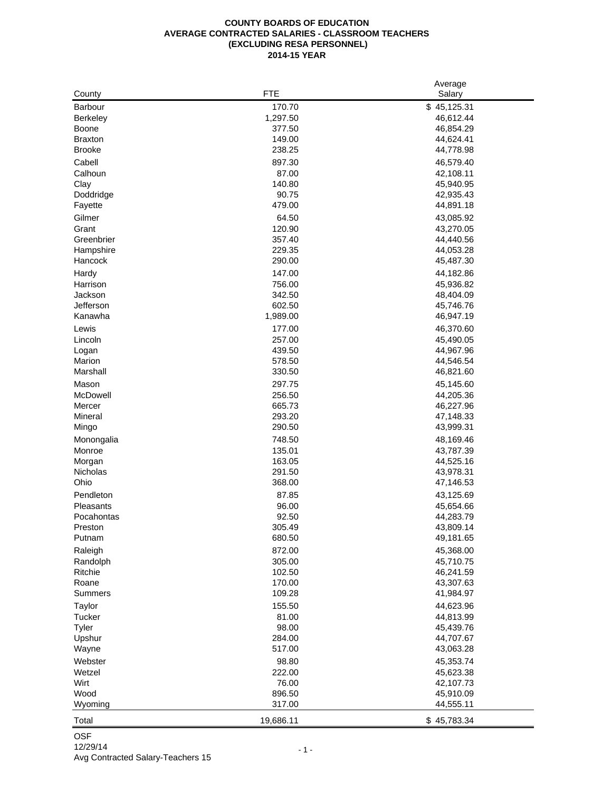#### **COUNTY BOARDS OF EDUCATION AVERAGE CONTRACTED SALARIES - CLASSROOM TEACHERS (EXCLUDING RESA PERSONNEL) 2014-15 YEAR**

|                 | <b>FTE</b> | Average     |
|-----------------|------------|-------------|
| County          |            | Salary      |
| Barbour         | 170.70     | \$45,125.31 |
| <b>Berkeley</b> | 1,297.50   | 46,612.44   |
| Boone           | 377.50     | 46,854.29   |
| <b>Braxton</b>  | 149.00     | 44,624.41   |
| <b>Brooke</b>   | 238.25     | 44,778.98   |
| Cabell          | 897.30     | 46,579.40   |
| Calhoun         | 87.00      | 42,108.11   |
| Clay            | 140.80     | 45,940.95   |
| Doddridge       | 90.75      | 42,935.43   |
| Fayette         | 479.00     | 44,891.18   |
| Gilmer          | 64.50      | 43,085.92   |
| Grant           | 120.90     | 43,270.05   |
| Greenbrier      | 357.40     | 44,440.56   |
| Hampshire       | 229.35     | 44,053.28   |
| Hancock         | 290.00     | 45,487.30   |
|                 |            |             |
| Hardy           | 147.00     | 44,182.86   |
| Harrison        | 756.00     | 45,936.82   |
| Jackson         | 342.50     | 48,404.09   |
| Jefferson       | 602.50     | 45,746.76   |
| Kanawha         | 1,989.00   | 46,947.19   |
| Lewis           | 177.00     | 46,370.60   |
| Lincoln         | 257.00     | 45,490.05   |
| Logan           | 439.50     | 44,967.96   |
| Marion          | 578.50     | 44,546.54   |
| Marshall        | 330.50     | 46,821.60   |
| Mason           | 297.75     | 45,145.60   |
| McDowell        | 256.50     | 44,205.36   |
| Mercer          | 665.73     | 46,227.96   |
| Mineral         | 293.20     | 47,148.33   |
| Mingo           | 290.50     | 43,999.31   |
| Monongalia      | 748.50     | 48,169.46   |
| Monroe          | 135.01     | 43,787.39   |
| Morgan          | 163.05     | 44,525.16   |
| Nicholas        | 291.50     | 43,978.31   |
| Ohio            | 368.00     | 47,146.53   |
|                 |            |             |
| Pendleton       | 87.85      | 43,125.69   |
| Pleasants       | 96.00      | 45,654.66   |
| Pocahontas      | 92.50      | 44,283.79   |
| Preston         | 305.49     | 43,809.14   |
| Putnam          | 680.50     | 49,181.65   |
| Raleigh         | 872.00     | 45,368.00   |
| Randolph        | 305.00     | 45,710.75   |
| Ritchie         | 102.50     | 46,241.59   |
| Roane           | 170.00     | 43,307.63   |
| <b>Summers</b>  | 109.28     | 41,984.97   |
| Taylor          | 155.50     | 44,623.96   |
| <b>Tucker</b>   | 81.00      | 44,813.99   |
| Tyler           | 98.00      | 45,439.76   |
| Upshur          | 284.00     | 44,707.67   |
| Wayne           | 517.00     | 43,063.28   |
| Webster         | 98.80      | 45,353.74   |
| Wetzel          | 222.00     | 45,623.38   |
| Wirt            | 76.00      | 42,107.73   |
| Wood            | 896.50     | 45,910.09   |
| Wyoming         | 317.00     | 44,555.11   |
|                 |            |             |
| Total           | 19,686.11  | \$45,783.34 |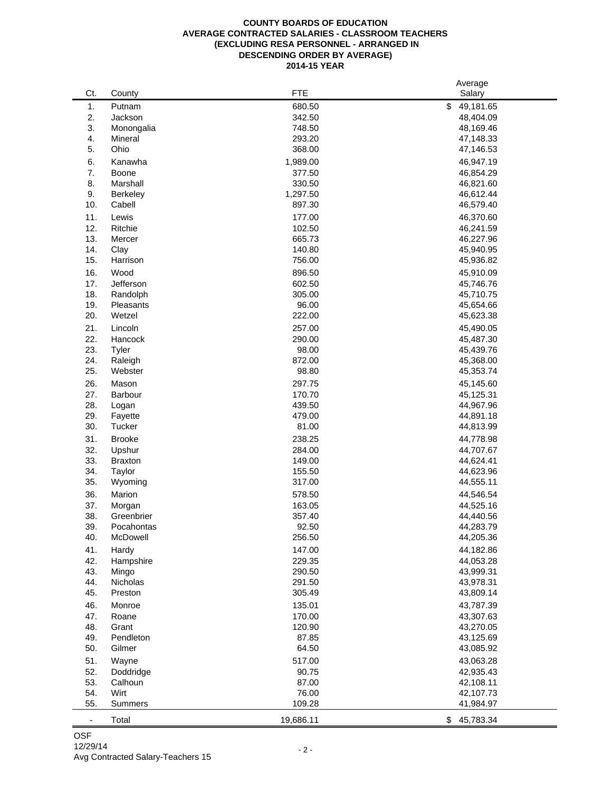#### **COUNTY BOARDS OF EDUCATION AVERAGE CONTRACTED SALARIES - CLASSROOM TEACHERS (EXCLUDING RESA PERSONNEL - ARRANGED IN DESCENDING ORDER BY AVERAGE) 2014-15 YEAR**

|               |                |            | Average         |
|---------------|----------------|------------|-----------------|
| Ct.           | County         | <b>FTE</b> | Salary          |
| 1.            | Putnam         | 680.50     | \$<br>49,181.65 |
| 2.            | Jackson        | 342.50     | 48,404.09       |
| 3.            | Monongalia     | 748.50     | 48,169.46       |
| 4.            | Mineral        | 293.20     | 47,148.33       |
| 5.            | Ohio           | 368.00     | 47,146.53       |
| 6.            | Kanawha        | 1,989.00   | 46,947.19       |
| 7.            | Boone          | 377.50     | 46,854.29       |
| 8.            | Marshall       |            | 46,821.60       |
| 9.            |                | 330.50     |                 |
|               | Berkeley       | 1,297.50   | 46,612.44       |
| 10.           | Cabell         | 897.30     | 46,579.40       |
| 11.           | Lewis          | 177.00     | 46,370.60       |
| 12.           | Ritchie        | 102.50     | 46,241.59       |
| 13.           | Mercer         | 665.73     | 46,227.96       |
| 14.           | Clay           | 140.80     | 45,940.95       |
| 15.           | Harrison       | 756.00     | 45,936.82       |
| 16.           | Wood           | 896.50     | 45,910.09       |
| 17.           | Jefferson      | 602.50     | 45,746.76       |
| 18.           | Randolph       | 305.00     | 45,710.75       |
| 19.           | Pleasants      | 96.00      | 45,654.66       |
| 20.           | Wetzel         | 222.00     | 45,623.38       |
| 21.           | Lincoln        | 257.00     | 45,490.05       |
| 22.           | Hancock        | 290.00     | 45,487.30       |
| 23.           | Tyler          | 98.00      | 45,439.76       |
| 24.           | Raleigh        | 872.00     |                 |
| 25.           | Webster        | 98.80      | 45,368.00       |
|               |                |            | 45,353.74       |
| 26.           | Mason          | 297.75     | 45,145.60       |
| 27.           | Barbour        | 170.70     | 45,125.31       |
| 28.           | Logan          | 439.50     | 44,967.96       |
| 29.           | Fayette        | 479.00     | 44,891.18       |
| 30.           | Tucker         | 81.00      | 44,813.99       |
| 31.           | <b>Brooke</b>  | 238.25     | 44,778.98       |
| 32.           | Upshur         | 284.00     | 44,707.67       |
| 33.           | <b>Braxton</b> | 149.00     | 44,624.41       |
| 34.           | Taylor         | 155.50     | 44,623.96       |
| 35.           | Wyoming        | 317.00     | 44,555.11       |
| 36.           | Marion         | 578.50     | 44,546.54       |
| 37.           | Morgan         | 163.05     | 44,525.16       |
| 38.           | Greenbrier     | 357.40     | 44,440.56       |
| 39.           | Pocahontas     | 92.50      | 44,283.79       |
| 40.           | McDowell       | 256.50     | 44,205.36       |
| 41.           | Hardy          | 147.00     | 44,182.86       |
| 42.           | Hampshire      | 229.35     | 44,053.28       |
| 43.           | Mingo          | 290.50     | 43,999.31       |
| 44.           | Nicholas       | 291.50     | 43,978.31       |
| 45.           | Preston        | 305.49     |                 |
|               |                |            | 43,809.14       |
| 46.           | Monroe         | 135.01     | 43,787.39       |
| 47.           | Roane          | 170.00     | 43,307.63       |
| 48.           | Grant          | 120.90     | 43,270.05       |
| 49.           | Pendleton      | 87.85      | 43,125.69       |
| 50.           | Gilmer         | 64.50      | 43,085.92       |
| 51.           | Wayne          | 517.00     | 43,063.28       |
| 52.           | Doddridge      | 90.75      | 42,935.43       |
| 53.           | Calhoun        | 87.00      | 42,108.11       |
| 54.           | Wirt           | 76.00      | 42,107.73       |
| 55.           | Summers        | 109.28     | 41,984.97       |
|               |                |            |                 |
| $\frac{1}{2}$ | Total          | 19,686.11  | \$45,783.34     |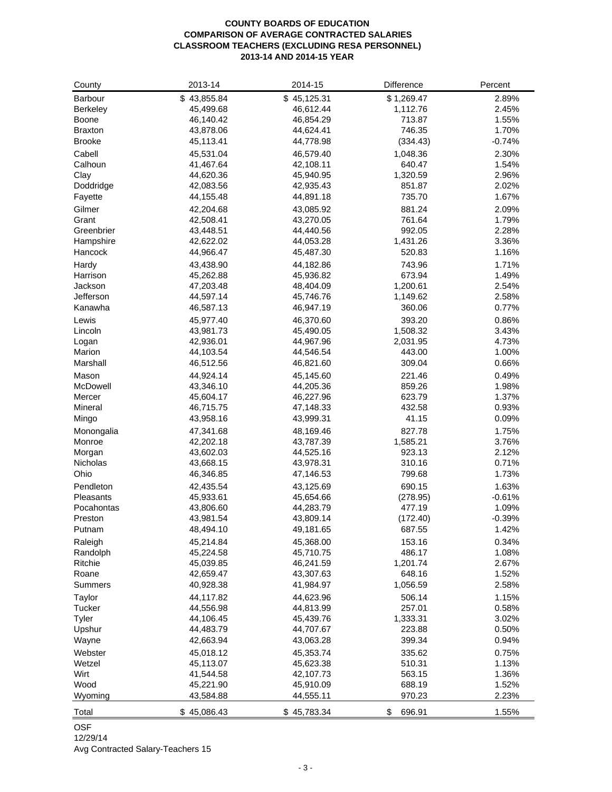## **COUNTY BOARDS OF EDUCATION COMPARISON OF AVERAGE CONTRACTED SALARIES CLASSROOM TEACHERS (EXCLUDING RESA PERSONNEL) 2013-14 AND 2014-15 YEAR**

| County          | 2013-14     | 2014-15     | Difference   | Percent  |
|-----------------|-------------|-------------|--------------|----------|
| Barbour         | \$43,855.84 | \$45,125.31 | \$1,269.47   | 2.89%    |
| <b>Berkeley</b> | 45,499.68   | 46,612.44   | 1,112.76     | 2.45%    |
| Boone           | 46,140.42   | 46,854.29   | 713.87       | 1.55%    |
| Braxton         | 43,878.06   | 44,624.41   | 746.35       | 1.70%    |
| <b>Brooke</b>   | 45,113.41   | 44,778.98   | (334.43)     | $-0.74%$ |
| Cabell          | 45,531.04   | 46,579.40   | 1,048.36     | 2.30%    |
| Calhoun         | 41,467.64   | 42,108.11   | 640.47       | 1.54%    |
| Clay            | 44,620.36   | 45,940.95   | 1,320.59     | 2.96%    |
| Doddridge       | 42,083.56   | 42,935.43   | 851.87       | 2.02%    |
| Fayette         | 44,155.48   | 44,891.18   | 735.70       | 1.67%    |
| Gilmer          | 42,204.68   | 43,085.92   | 881.24       | 2.09%    |
| Grant           | 42,508.41   | 43,270.05   | 761.64       | 1.79%    |
| Greenbrier      | 43,448.51   | 44,440.56   | 992.05       | 2.28%    |
| Hampshire       | 42,622.02   | 44,053.28   | 1,431.26     | 3.36%    |
| Hancock         | 44,966.47   | 45,487.30   | 520.83       | 1.16%    |
|                 |             |             |              |          |
| Hardy           | 43,438.90   | 44,182.86   | 743.96       | 1.71%    |
| Harrison        | 45,262.88   | 45,936.82   | 673.94       | 1.49%    |
| Jackson         | 47,203.48   | 48,404.09   | 1,200.61     | 2.54%    |
| Jefferson       | 44,597.14   | 45,746.76   | 1,149.62     | 2.58%    |
| Kanawha         | 46,587.13   | 46,947.19   | 360.06       | 0.77%    |
| Lewis           | 45,977.40   | 46,370.60   | 393.20       | 0.86%    |
| Lincoln         | 43,981.73   | 45,490.05   | 1,508.32     | 3.43%    |
| Logan           | 42,936.01   | 44,967.96   | 2,031.95     | 4.73%    |
| Marion          | 44,103.54   | 44,546.54   | 443.00       | 1.00%    |
| Marshall        | 46,512.56   | 46,821.60   | 309.04       | 0.66%    |
| Mason           | 44,924.14   | 45,145.60   | 221.46       | 0.49%    |
| McDowell        | 43,346.10   | 44,205.36   | 859.26       | 1.98%    |
| Mercer          | 45,604.17   | 46,227.96   | 623.79       | 1.37%    |
| Mineral         | 46,715.75   | 47,148.33   | 432.58       | 0.93%    |
| Mingo           | 43,958.16   | 43,999.31   | 41.15        | 0.09%    |
| Monongalia      | 47,341.68   | 48,169.46   | 827.78       | 1.75%    |
| Monroe          | 42,202.18   | 43,787.39   | 1,585.21     | 3.76%    |
| Morgan          | 43,602.03   | 44,525.16   | 923.13       | 2.12%    |
| Nicholas        | 43,668.15   | 43,978.31   | 310.16       | 0.71%    |
| Ohio            | 46,346.85   | 47,146.53   | 799.68       | 1.73%    |
| Pendleton       | 42,435.54   | 43,125.69   | 690.15       | 1.63%    |
| Pleasants       | 45,933.61   | 45,654.66   | (278.95)     | $-0.61%$ |
| Pocahontas      | 43,806.60   | 44,283.79   | 477.19       | 1.09%    |
| Preston         | 43,981.54   | 43,809.14   | (172.40)     | $-0.39%$ |
| Putnam          | 48,494.10   | 49,181.65   | 687.55       | 1.42%    |
| Raleigh         | 45,214.84   | 45,368.00   | 153.16       | 0.34%    |
| Randolph        | 45,224.58   | 45,710.75   | 486.17       | 1.08%    |
| Ritchie         | 45,039.85   | 46,241.59   | 1,201.74     | 2.67%    |
| Roane           | 42,659.47   | 43,307.63   | 648.16       | 1.52%    |
| <b>Summers</b>  | 40,928.38   | 41,984.97   | 1,056.59     | 2.58%    |
| Taylor          | 44,117.82   | 44,623.96   | 506.14       | 1.15%    |
| Tucker          | 44,556.98   | 44,813.99   | 257.01       | 0.58%    |
| Tyler           | 44,106.45   | 45,439.76   | 1,333.31     | 3.02%    |
| Upshur          | 44,483.79   | 44,707.67   | 223.88       | 0.50%    |
| Wayne           | 42,663.94   | 43,063.28   | 399.34       | 0.94%    |
|                 |             |             |              |          |
| Webster         | 45,018.12   | 45,353.74   | 335.62       | 0.75%    |
| Wetzel          | 45,113.07   | 45,623.38   | 510.31       | 1.13%    |
| Wirt            | 41,544.58   | 42,107.73   | 563.15       | 1.36%    |
| Wood            | 45,221.90   | 45,910.09   | 688.19       | 1.52%    |
| Wyoming         | 43,584.88   | 44,555.11   | 970.23       | 2.23%    |
| Total           | \$45,086.43 | \$45,783.34 | \$<br>696.91 | 1.55%    |

### OSF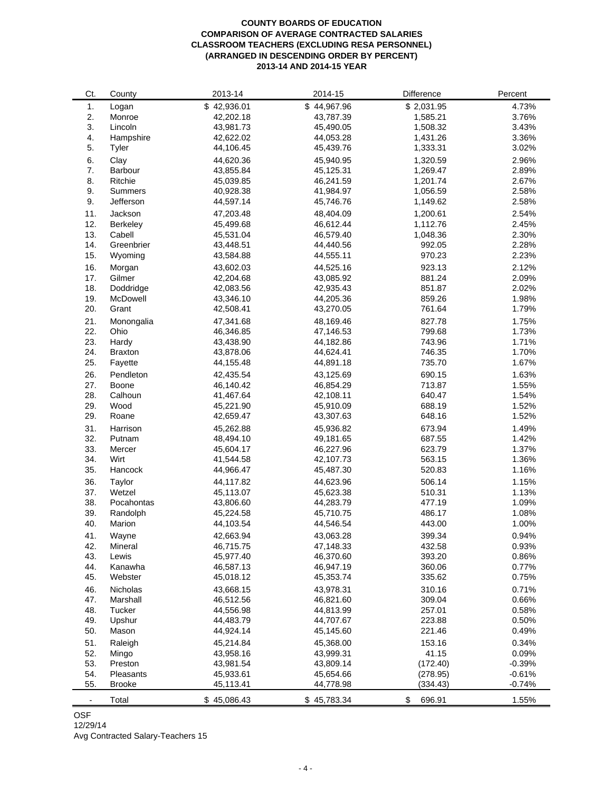#### **COUNTY BOARDS OF EDUCATION COMPARISON OF AVERAGE CONTRACTED SALARIES CLASSROOM TEACHERS (EXCLUDING RESA PERSONNEL) (ARRANGED IN DESCENDING ORDER BY PERCENT) 2013-14 AND 2014-15 YEAR**

| Ct.                      | County             | 2013-14                | 2014-15                | Difference   | Percent  |
|--------------------------|--------------------|------------------------|------------------------|--------------|----------|
| 1.                       | Logan              | \$42,936.01            | \$44,967.96            | \$2,031.95   | 4.73%    |
| 2.                       | Monroe             | 42,202.18              | 43,787.39              | 1,585.21     | 3.76%    |
| 3.                       | Lincoln            | 43,981.73              | 45,490.05              | 1,508.32     | 3.43%    |
| 4.                       | Hampshire          | 42,622.02              | 44,053.28              | 1,431.26     | 3.36%    |
| 5.                       | Tyler              | 44,106.45              | 45,439.76              | 1,333.31     | 3.02%    |
| 6.                       | Clay               | 44,620.36              | 45,940.95              | 1,320.59     | 2.96%    |
| 7.                       | Barbour            | 43,855.84              | 45,125.31              | 1,269.47     | 2.89%    |
| 8.                       | Ritchie            | 45,039.85              | 46,241.59              | 1,201.74     | 2.67%    |
| 9.                       | Summers            | 40,928.38              | 41,984.97              | 1,056.59     | 2.58%    |
| 9.                       | Jefferson          | 44,597.14              | 45,746.76              | 1,149.62     | 2.58%    |
|                          | Jackson            |                        | 48,404.09              | 1,200.61     | 2.54%    |
| 11.<br>12.               |                    | 47,203.48<br>45,499.68 | 46,612.44              | 1,112.76     | 2.45%    |
| 13.                      | Berkeley<br>Cabell | 45,531.04              | 46,579.40              | 1,048.36     | 2.30%    |
| 14.                      | Greenbrier         | 43,448.51              | 44,440.56              | 992.05       | 2.28%    |
| 15.                      | Wyoming            |                        |                        | 970.23       | 2.23%    |
|                          |                    | 43,584.88              | 44,555.11              |              |          |
| 16.                      | Morgan             | 43,602.03              | 44,525.16              | 923.13       | 2.12%    |
| 17.                      | Gilmer             | 42,204.68              | 43,085.92              | 881.24       | 2.09%    |
| 18.                      | Doddridge          | 42,083.56              | 42,935.43              | 851.87       | 2.02%    |
| 19.                      | McDowell           | 43,346.10              | 44,205.36              | 859.26       | 1.98%    |
| 20.                      | Grant              | 42,508.41              | 43,270.05              | 761.64       | 1.79%    |
| 21.                      | Monongalia         | 47,341.68              | 48,169.46              | 827.78       | 1.75%    |
| 22.                      | Ohio               | 46,346.85              | 47,146.53              | 799.68       | 1.73%    |
| 23.                      | Hardy              | 43,438.90              | 44,182.86              | 743.96       | 1.71%    |
| 24.                      | <b>Braxton</b>     | 43,878.06              | 44,624.41              | 746.35       | 1.70%    |
| 25.                      | Fayette            | 44,155.48              | 44,891.18              | 735.70       | 1.67%    |
| 26.                      | Pendleton          | 42,435.54              | 43,125.69              | 690.15       | 1.63%    |
| 27.                      | Boone              | 46,140.42              | 46,854.29              | 713.87       | 1.55%    |
| 28.                      | Calhoun            | 41,467.64              | 42,108.11              | 640.47       | 1.54%    |
| 29.                      | Wood               | 45,221.90              | 45,910.09              | 688.19       | 1.52%    |
| 29.                      | Roane              | 42,659.47              | 43,307.63              | 648.16       | 1.52%    |
| 31.                      | Harrison           | 45,262.88              | 45,936.82              | 673.94       | 1.49%    |
| 32.                      | Putnam             | 48,494.10              | 49,181.65              | 687.55       | 1.42%    |
| 33.                      | Mercer             | 45,604.17              | 46,227.96              | 623.79       | 1.37%    |
| 34.                      | Wirt               | 41,544.58              | 42,107.73              | 563.15       | 1.36%    |
| 35.                      | Hancock            | 44,966.47              | 45,487.30              | 520.83       | 1.16%    |
| 36.                      | Taylor             | 44,117.82              | 44,623.96              | 506.14       | 1.15%    |
| 37.                      | Wetzel             | 45,113.07              | 45,623.38              | 510.31       | 1.13%    |
| 38.                      | Pocahontas         | 43,806.60              | 44,283.79              | 477.19       | 1.09%    |
| 39.                      | Randolph           |                        |                        | 486.17       | 1.08%    |
| 40.                      | Marion             | 45,224.58<br>44,103.54 | 45,710.75<br>44,546.54 | 443.00       | 1.00%    |
|                          |                    |                        |                        |              |          |
| 41.                      | Wayne              | 42,663.94              | 43,063.28              | 399.34       | 0.94%    |
| 42.                      | Mineral            | 46,715.75              | 47,148.33              | 432.58       | 0.93%    |
| 43.                      | Lewis              | 45,977.40              | 46,370.60              | 393.20       | 0.86%    |
| 44.                      | Kanawha            | 46,587.13              | 46,947.19              | 360.06       | 0.77%    |
| 45.                      | Webster            | 45,018.12              | 45,353.74              | 335.62       | 0.75%    |
| 46.                      | <b>Nicholas</b>    | 43,668.15              | 43,978.31              | 310.16       | 0.71%    |
| 47.                      | Marshall           | 46,512.56              | 46,821.60              | 309.04       | 0.66%    |
| 48.                      | Tucker             | 44,556.98              | 44,813.99              | 257.01       | 0.58%    |
| 49.                      | Upshur             | 44,483.79              | 44,707.67              | 223.88       | 0.50%    |
| 50.                      | Mason              | 44,924.14              | 45,145.60              | 221.46       | 0.49%    |
| 51.                      | Raleigh            | 45,214.84              | 45,368.00              | 153.16       | 0.34%    |
| 52.                      | Mingo              | 43,958.16              | 43,999.31              | 41.15        | 0.09%    |
| 53.                      | Preston            | 43,981.54              | 43,809.14              | (172.40)     | $-0.39%$ |
| 54.                      | Pleasants          | 45,933.61              | 45,654.66              | (278.95)     | $-0.61%$ |
| 55.                      | <b>Brooke</b>      | 45,113.41              | 44,778.98              | (334.43)     | $-0.74%$ |
| $\overline{\phantom{a}}$ | Total              | \$45,086.43            | \$45,783.34            | \$<br>696.91 | 1.55%    |
|                          |                    |                        |                        |              |          |

OSF 12/29/14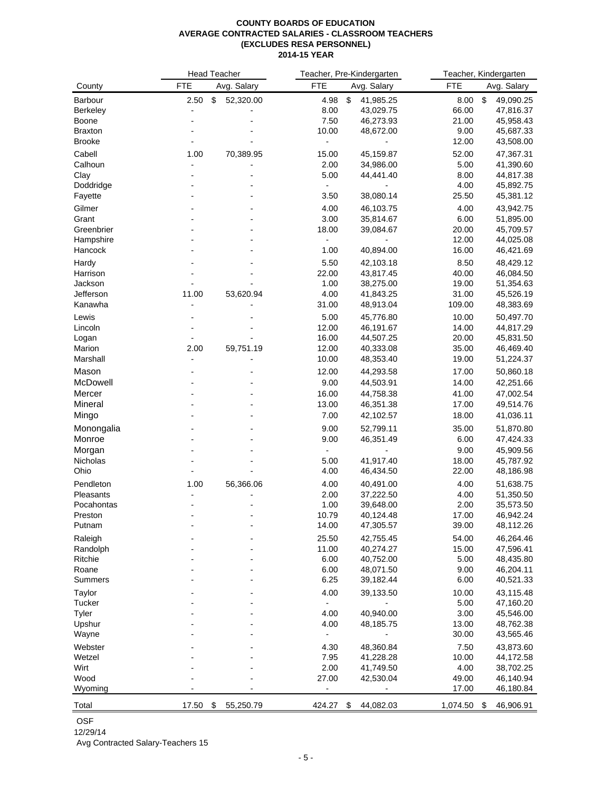#### **COUNTY BOARDS OF EDUCATION AVERAGE CONTRACTED SALARIES - CLASSROOM TEACHERS (EXCLUDES RESA PERSONNEL) 2014-15 YEAR**

|                 |                | <b>Head Teacher</b> |            | Teacher, Pre-Kindergarten |            | Teacher, Kindergarten |  |
|-----------------|----------------|---------------------|------------|---------------------------|------------|-----------------------|--|
| County          | <b>FTE</b>     | Avg. Salary         | <b>FTE</b> | Avg. Salary               | <b>FTE</b> | Avg. Salary           |  |
| <b>Barbour</b>  | 2.50           | \$<br>52,320.00     | 4.98       | \$<br>41,985.25           | 8.00       | \$<br>49,090.25       |  |
| <b>Berkeley</b> |                |                     | 8.00       | 43,029.75                 | 66.00      | 47,816.37             |  |
| Boone           |                |                     | 7.50       | 46,273.93                 | 21.00      | 45,958.43             |  |
| <b>Braxton</b>  |                |                     | 10.00      | 48,672.00                 | 9.00       | 45,687.33             |  |
| <b>Brooke</b>   |                |                     |            |                           | 12.00      | 43,508.00             |  |
| Cabell          | 1.00           | 70,389.95           | 15.00      | 45,159.87                 | 52.00      | 47,367.31             |  |
| Calhoun         |                |                     | 2.00       | 34,986.00                 | 5.00       | 41,390.60             |  |
| Clay            |                |                     | 5.00       | 44,441.40                 | 8.00       | 44,817.38             |  |
| Doddridge       |                |                     |            |                           | 4.00       | 45,892.75             |  |
| Fayette         |                |                     | 3.50       | 38,080.14                 | 25.50      | 45,381.12             |  |
| Gilmer          |                |                     | 4.00       | 46,103.75                 | 4.00       | 43,942.75             |  |
| Grant           |                |                     | 3.00       | 35,814.67                 | 6.00       | 51,895.00             |  |
| Greenbrier      |                |                     | 18.00      | 39,084.67                 | 20.00      | 45,709.57             |  |
| Hampshire       |                |                     |            |                           | 12.00      | 44,025.08             |  |
| Hancock         |                |                     | 1.00       | 40,894.00                 | 16.00      | 46,421.69             |  |
| Hardy           |                |                     | 5.50       | 42,103.18                 | 8.50       | 48,429.12             |  |
| Harrison        |                |                     | 22.00      | 43,817.45                 | 40.00      | 46,084.50             |  |
| Jackson         |                |                     | 1.00       | 38,275.00                 | 19.00      | 51,354.63             |  |
| Jefferson       | 11.00          | 53,620.94           | 4.00       | 41,843.25                 | 31.00      | 45,526.19             |  |
| Kanawha         |                |                     | 31.00      | 48,913.04                 | 109.00     | 48,383.69             |  |
| Lewis           |                |                     | 5.00       | 45,776.80                 | 10.00      | 50,497.70             |  |
| Lincoln         |                |                     | 12.00      | 46,191.67                 | 14.00      | 44,817.29             |  |
| Logan           |                |                     | 16.00      | 44,507.25                 | 20.00      | 45,831.50             |  |
| Marion          | 2.00           | 59,751.19           | 12.00      | 40,333.08                 | 35.00      | 46,469.40             |  |
| Marshall        | $\overline{a}$ |                     | 10.00      | 48,353.40                 | 19.00      | 51,224.37             |  |
| Mason           |                |                     | 12.00      | 44,293.58                 | 17.00      | 50,860.18             |  |
| McDowell        |                |                     | 9.00       | 44,503.91                 | 14.00      | 42,251.66             |  |
| Mercer          |                |                     | 16.00      | 44,758.38                 | 41.00      | 47,002.54             |  |
| Mineral         |                |                     | 13.00      | 46,351.38                 | 17.00      | 49,514.76             |  |
| Mingo           |                |                     | 7.00       | 42,102.57                 | 18.00      | 41,036.11             |  |
| Monongalia      |                |                     | 9.00       | 52,799.11                 | 35.00      | 51,870.80             |  |
| Monroe          |                |                     | 9.00       | 46,351.49                 | 6.00       | 47,424.33             |  |
| Morgan          |                |                     |            |                           | 9.00       | 45,909.56             |  |
| Nicholas        |                |                     | 5.00       | 41,917.40                 | 18.00      | 45,787.92             |  |
| Ohio            |                |                     | 4.00       | 46,434.50                 | 22.00      | 48,186.98             |  |
| Pendleton       | 1.00           | 56,366.06           | 4.00       | 40,491.00                 | 4.00       | 51,638.75             |  |
| Pleasants       |                |                     | 2.00       | 37,222.50                 | 4.00       | 51,350.50             |  |
| Pocahontas      |                |                     | 1.00       | 39,648.00                 | 2.00       | 35,573.50             |  |
| Preston         |                |                     | 10.79      | 40,124.48                 | 17.00      | 46,942.24             |  |
| Putnam          |                |                     | 14.00      | 47,305.57                 | 39.00      | 48,112.26             |  |
| Raleigh         |                |                     | 25.50      | 42,755.45                 | 54.00      | 46,264.46             |  |
| Randolph        |                |                     | 11.00      | 40,274.27                 | 15.00      | 47,596.41             |  |
| Ritchie         |                |                     | 6.00       | 40,752.00                 | 5.00       | 48,435.80             |  |
| Roane           |                |                     | 6.00       | 48,071.50                 | 9.00       | 46,204.11             |  |
| Summers         |                |                     | 6.25       | 39,182.44                 | 6.00       | 40,521.33             |  |
| Taylor          |                |                     | 4.00       | 39,133.50                 | 10.00      | 43,115.48             |  |
| Tucker          |                |                     |            |                           | 5.00       | 47,160.20             |  |
| Tyler           |                |                     | 4.00       | 40,940.00                 | 3.00       | 45,546.00             |  |
| Upshur          |                |                     | 4.00       | 48,185.75                 | 13.00      | 48,762.38             |  |
| Wayne           |                |                     |            |                           | 30.00      | 43,565.46             |  |
| Webster         |                |                     | 4.30       | 48,360.84                 | 7.50       | 43,873.60             |  |
| Wetzel          |                |                     | 7.95       | 41,228.28                 | 10.00      | 44,172.58             |  |
| Wirt            |                |                     | 2.00       | 41,749.50                 | 4.00       | 38,702.25             |  |
| Wood            |                |                     | 27.00      | 42,530.04                 | 49.00      | 46,140.94             |  |
| Wyoming         |                |                     |            |                           | 17.00      | 46,180.84             |  |
| Total           | 17.50          | \$<br>55,250.79     | 424.27     | \$<br>44,082.03           | 1,074.50   | 46,906.91<br>\$       |  |

OSF

12/29/14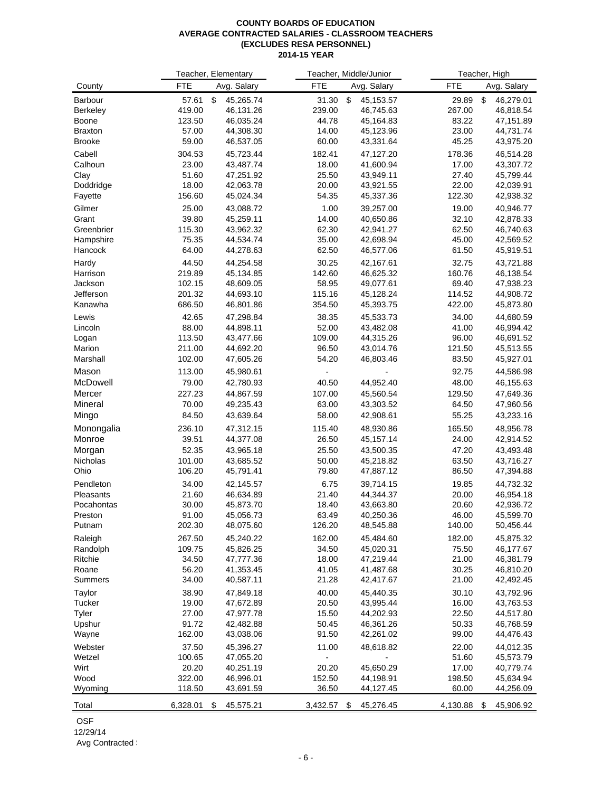#### **COUNTY BOARDS OF EDUCATION AVERAGE CONTRACTED SALARIES - CLASSROOM TEACHERS (EXCLUDES RESA PERSONNEL) 2014-15 YEAR**

| <b>FTE</b><br><b>FTE</b><br><b>FTE</b><br>Avg. Salary<br>Avg. Salary<br>Avg. Salary<br>County<br>$\mathbb{S}$<br>57.61<br>31.30<br>\$<br>45,153.57<br>29.89<br>\$<br>46,279.01<br>Barbour<br>45,265.74<br>419.00<br>239.00<br>267.00<br>Berkeley<br>46,131.26<br>46,745.63<br>46,818.54<br>123.50<br>44.78<br>83.22<br>Boone<br>46,035.24<br>45,164.83<br>47,151.89<br>23.00<br><b>Braxton</b><br>57.00<br>44,308.30<br>14.00<br>45,123.96<br>44,731.74<br>45.25<br><b>Brooke</b><br>59.00<br>46,537.05<br>60.00<br>43,331.64<br>43,975.20<br>Cabell<br>304.53<br>45,723.44<br>182.41<br>47,127.20<br>178.36<br>46,514.28<br>Calhoun<br>23.00<br>41,600.94<br>17.00<br>43,487.74<br>18.00<br>43,307.72<br>27.40<br>Clay<br>51.60<br>47,251.92<br>25.50<br>43,949.11<br>45,799.44<br>20.00<br>22.00<br>Doddridge<br>18.00<br>42,063.78<br>43,921.55<br>42,039.91<br>122.30<br>Fayette<br>156.60<br>45,024.34<br>54.35<br>45,337.36<br>42,938.32<br>Gilmer<br>25.00<br>1.00<br>19.00<br>43,088.72<br>39,257.00<br>40,946.77<br>Grant<br>14.00<br>32.10<br>39.80<br>45,259.11<br>40,650.86<br>42,878.33<br>115.30<br>62.30<br>62.50<br>46,740.63<br>Greenbrier<br>43,962.32<br>42,941.27<br>35.00<br>45.00<br>Hampshire<br>75.35<br>44,534.74<br>42,698.94<br>42,569.52<br>Hancock<br>64.00<br>44,278.63<br>62.50<br>46,577.06<br>61.50<br>45,919.51<br>44.50<br>44,254.58<br>30.25<br>42,167.61<br>32.75<br>43,721.88<br>Hardy<br>219.89<br>142.60<br>46,625.32<br>160.76<br>Harrison<br>45,134.85<br>46,138.54<br>Jackson<br>102.15<br>48,609.05<br>58.95<br>49,077.61<br>69.40<br>47,938.23<br>Jefferson<br>201.32<br>44,693.10<br>115.16<br>45,128.24<br>114.52<br>44,908.72<br>Kanawha<br>686.50<br>46,801.86<br>354.50<br>45,393.75<br>422.00<br>45,873.80<br>Lewis<br>42.65<br>38.35<br>45,533.73<br>34.00<br>44,680.59<br>47,298.84<br>88.00<br>52.00<br>41.00<br>Lincoln<br>44,898.11<br>43,482.08<br>46,994.42<br>113.50<br>109.00<br>96.00<br>43,477.66<br>44,315.26<br>46,691.52<br>Logan<br>96.50<br>121.50<br>Marion<br>211.00<br>44,692.20<br>43,014.76<br>45,513.55<br>Marshall<br>102.00<br>47,605.26<br>54.20<br>46,803.46<br>83.50<br>45,927.01<br>Mason<br>113.00<br>92.75<br>45,980.61<br>44,586.98<br>McDowell<br>79.00<br>42,780.93<br>40.50<br>44,952.40<br>48.00<br>46,155.63<br>Mercer<br>227.23<br>107.00<br>129.50<br>44,867.59<br>45,560.54<br>47,649.36<br>Mineral<br>70.00<br>49,235.43<br>63.00<br>43,303.52<br>64.50<br>47,960.56<br>84.50<br>55.25<br>Mingo<br>43,639.64<br>58.00<br>42,908.61<br>43,233.16<br>Monongalia<br>236.10<br>165.50<br>47,312.15<br>115.40<br>48,930.86<br>48,956.78<br>Monroe<br>24.00<br>39.51<br>44,377.08<br>26.50<br>45,157.14<br>42,914.52<br>Morgan<br>52.35<br>25.50<br>47.20<br>43,493.48<br>43,965.18<br>43,500.35<br>Nicholas<br>101.00<br>50.00<br>45,218.82<br>63.50<br>43,716.27<br>43,685.52<br>Ohio<br>106.20<br>45,791.41<br>79.80<br>47,887.12<br>86.50<br>47,394.88<br>Pendleton<br>34.00<br>6.75<br>19.85<br>44,732.32<br>42,145.57<br>39,714.15<br>21.60<br>21.40<br>44,344.37<br>Pleasants<br>46,634.89<br>20.00<br>46,954.18<br>18.40<br>43,663.80<br>20.60<br>30.00<br>45,873.70<br>42,936.72<br>Pocahontas<br>91.00<br>63.49<br>40,250.36<br>46.00<br>45,599.70<br>45,056.73<br>Preston<br>Putnam<br>202.30<br>48,075.60<br>126.20<br>48,545.88<br>140.00<br>50,456.44<br>Raleigh<br>267.50<br>162.00<br>45,484.60<br>182.00<br>45,240.22<br>45,875.32<br>Randolph<br>109.75<br>45,826.25<br>34.50<br>45,020.31<br>75.50<br>46,177.67<br>Ritchie<br>34.50<br>47,777.36<br>18.00<br>47,219.44<br>21.00<br>46,381.79<br>Roane<br>56.20<br>41,353.45<br>41.05<br>30.25<br>41,487.68<br>46,810.20<br>34.00<br>21.00<br>Summers<br>40,587.11<br>21.28<br>42,417.67<br>42,492.45<br>Taylor<br>38.90<br>40.00<br>30.10<br>47,849.18<br>45,440.35<br>43,792.96<br>Tucker<br>19.00<br>47,672.89<br>20.50<br>43,995.44<br>16.00<br>43,763.53<br>Tyler<br>27.00<br>47,977.78<br>15.50<br>44,202.93<br>22.50<br>44,517.80<br>Upshur<br>91.72<br>42,482.88<br>50.45<br>46,361.26<br>50.33<br>46,768.59<br>Wayne<br>162.00<br>43,038.06<br>91.50<br>42,261.02<br>99.00<br>44,476.43<br>37.50<br>22.00<br>Webster<br>45,396.27<br>11.00<br>48,618.82<br>44,012.35<br>Wetzel<br>100.65<br>47,055.20<br>51.60<br>45,573.79<br>Wirt<br>20.20<br>40,251.19<br>20.20<br>45,650.29<br>17.00<br>40,779.74<br>Wood<br>322.00<br>46,996.01<br>152.50<br>198.50<br>44,198.91<br>45,634.94<br>Wyoming<br>118.50<br>36.50<br>44,256.09<br>43,691.59<br>44,127.45<br>60.00<br>Total<br>6,328.01<br>45,575.21<br>3,432.57<br>\$<br>45,276.45<br>4,130.88<br>\$<br>\$<br>45,906.92 |  | Teacher, Elementary | Teacher, Middle/Junior |  | Teacher, High |  |
|----------------------------------------------------------------------------------------------------------------------------------------------------------------------------------------------------------------------------------------------------------------------------------------------------------------------------------------------------------------------------------------------------------------------------------------------------------------------------------------------------------------------------------------------------------------------------------------------------------------------------------------------------------------------------------------------------------------------------------------------------------------------------------------------------------------------------------------------------------------------------------------------------------------------------------------------------------------------------------------------------------------------------------------------------------------------------------------------------------------------------------------------------------------------------------------------------------------------------------------------------------------------------------------------------------------------------------------------------------------------------------------------------------------------------------------------------------------------------------------------------------------------------------------------------------------------------------------------------------------------------------------------------------------------------------------------------------------------------------------------------------------------------------------------------------------------------------------------------------------------------------------------------------------------------------------------------------------------------------------------------------------------------------------------------------------------------------------------------------------------------------------------------------------------------------------------------------------------------------------------------------------------------------------------------------------------------------------------------------------------------------------------------------------------------------------------------------------------------------------------------------------------------------------------------------------------------------------------------------------------------------------------------------------------------------------------------------------------------------------------------------------------------------------------------------------------------------------------------------------------------------------------------------------------------------------------------------------------------------------------------------------------------------------------------------------------------------------------------------------------------------------------------------------------------------------------------------------------------------------------------------------------------------------------------------------------------------------------------------------------------------------------------------------------------------------------------------------------------------------------------------------------------------------------------------------------------------------------------------------------------------------------------------------------------------------------------------------------------------------------------------------------------------------------------------------------------------------------------------------------------------------------------------------------------------------------------------------------------------------------------------------------------------------------------------------------------------------------------------------------------------------------------------------------------------------------------------------------------------------------------------------------------------------------------------------------------------------------------------------------------------------------------------------------------------------------------------------------------------------------------------------------------------------------------------------------------------------------------------------------------------------|--|---------------------|------------------------|--|---------------|--|
|                                                                                                                                                                                                                                                                                                                                                                                                                                                                                                                                                                                                                                                                                                                                                                                                                                                                                                                                                                                                                                                                                                                                                                                                                                                                                                                                                                                                                                                                                                                                                                                                                                                                                                                                                                                                                                                                                                                                                                                                                                                                                                                                                                                                                                                                                                                                                                                                                                                                                                                                                                                                                                                                                                                                                                                                                                                                                                                                                                                                                                                                                                                                                                                                                                                                                                                                                                                                                                                                                                                                                                                                                                                                                                                                                                                                                                                                                                                                                                                                                                                                                                                                                                                                                                                                                                                                                                                                                                                                                                                                                                                                                                        |  |                     |                        |  |               |  |
|                                                                                                                                                                                                                                                                                                                                                                                                                                                                                                                                                                                                                                                                                                                                                                                                                                                                                                                                                                                                                                                                                                                                                                                                                                                                                                                                                                                                                                                                                                                                                                                                                                                                                                                                                                                                                                                                                                                                                                                                                                                                                                                                                                                                                                                                                                                                                                                                                                                                                                                                                                                                                                                                                                                                                                                                                                                                                                                                                                                                                                                                                                                                                                                                                                                                                                                                                                                                                                                                                                                                                                                                                                                                                                                                                                                                                                                                                                                                                                                                                                                                                                                                                                                                                                                                                                                                                                                                                                                                                                                                                                                                                                        |  |                     |                        |  |               |  |
|                                                                                                                                                                                                                                                                                                                                                                                                                                                                                                                                                                                                                                                                                                                                                                                                                                                                                                                                                                                                                                                                                                                                                                                                                                                                                                                                                                                                                                                                                                                                                                                                                                                                                                                                                                                                                                                                                                                                                                                                                                                                                                                                                                                                                                                                                                                                                                                                                                                                                                                                                                                                                                                                                                                                                                                                                                                                                                                                                                                                                                                                                                                                                                                                                                                                                                                                                                                                                                                                                                                                                                                                                                                                                                                                                                                                                                                                                                                                                                                                                                                                                                                                                                                                                                                                                                                                                                                                                                                                                                                                                                                                                                        |  |                     |                        |  |               |  |
|                                                                                                                                                                                                                                                                                                                                                                                                                                                                                                                                                                                                                                                                                                                                                                                                                                                                                                                                                                                                                                                                                                                                                                                                                                                                                                                                                                                                                                                                                                                                                                                                                                                                                                                                                                                                                                                                                                                                                                                                                                                                                                                                                                                                                                                                                                                                                                                                                                                                                                                                                                                                                                                                                                                                                                                                                                                                                                                                                                                                                                                                                                                                                                                                                                                                                                                                                                                                                                                                                                                                                                                                                                                                                                                                                                                                                                                                                                                                                                                                                                                                                                                                                                                                                                                                                                                                                                                                                                                                                                                                                                                                                                        |  |                     |                        |  |               |  |
|                                                                                                                                                                                                                                                                                                                                                                                                                                                                                                                                                                                                                                                                                                                                                                                                                                                                                                                                                                                                                                                                                                                                                                                                                                                                                                                                                                                                                                                                                                                                                                                                                                                                                                                                                                                                                                                                                                                                                                                                                                                                                                                                                                                                                                                                                                                                                                                                                                                                                                                                                                                                                                                                                                                                                                                                                                                                                                                                                                                                                                                                                                                                                                                                                                                                                                                                                                                                                                                                                                                                                                                                                                                                                                                                                                                                                                                                                                                                                                                                                                                                                                                                                                                                                                                                                                                                                                                                                                                                                                                                                                                                                                        |  |                     |                        |  |               |  |
|                                                                                                                                                                                                                                                                                                                                                                                                                                                                                                                                                                                                                                                                                                                                                                                                                                                                                                                                                                                                                                                                                                                                                                                                                                                                                                                                                                                                                                                                                                                                                                                                                                                                                                                                                                                                                                                                                                                                                                                                                                                                                                                                                                                                                                                                                                                                                                                                                                                                                                                                                                                                                                                                                                                                                                                                                                                                                                                                                                                                                                                                                                                                                                                                                                                                                                                                                                                                                                                                                                                                                                                                                                                                                                                                                                                                                                                                                                                                                                                                                                                                                                                                                                                                                                                                                                                                                                                                                                                                                                                                                                                                                                        |  |                     |                        |  |               |  |
|                                                                                                                                                                                                                                                                                                                                                                                                                                                                                                                                                                                                                                                                                                                                                                                                                                                                                                                                                                                                                                                                                                                                                                                                                                                                                                                                                                                                                                                                                                                                                                                                                                                                                                                                                                                                                                                                                                                                                                                                                                                                                                                                                                                                                                                                                                                                                                                                                                                                                                                                                                                                                                                                                                                                                                                                                                                                                                                                                                                                                                                                                                                                                                                                                                                                                                                                                                                                                                                                                                                                                                                                                                                                                                                                                                                                                                                                                                                                                                                                                                                                                                                                                                                                                                                                                                                                                                                                                                                                                                                                                                                                                                        |  |                     |                        |  |               |  |
|                                                                                                                                                                                                                                                                                                                                                                                                                                                                                                                                                                                                                                                                                                                                                                                                                                                                                                                                                                                                                                                                                                                                                                                                                                                                                                                                                                                                                                                                                                                                                                                                                                                                                                                                                                                                                                                                                                                                                                                                                                                                                                                                                                                                                                                                                                                                                                                                                                                                                                                                                                                                                                                                                                                                                                                                                                                                                                                                                                                                                                                                                                                                                                                                                                                                                                                                                                                                                                                                                                                                                                                                                                                                                                                                                                                                                                                                                                                                                                                                                                                                                                                                                                                                                                                                                                                                                                                                                                                                                                                                                                                                                                        |  |                     |                        |  |               |  |
|                                                                                                                                                                                                                                                                                                                                                                                                                                                                                                                                                                                                                                                                                                                                                                                                                                                                                                                                                                                                                                                                                                                                                                                                                                                                                                                                                                                                                                                                                                                                                                                                                                                                                                                                                                                                                                                                                                                                                                                                                                                                                                                                                                                                                                                                                                                                                                                                                                                                                                                                                                                                                                                                                                                                                                                                                                                                                                                                                                                                                                                                                                                                                                                                                                                                                                                                                                                                                                                                                                                                                                                                                                                                                                                                                                                                                                                                                                                                                                                                                                                                                                                                                                                                                                                                                                                                                                                                                                                                                                                                                                                                                                        |  |                     |                        |  |               |  |
|                                                                                                                                                                                                                                                                                                                                                                                                                                                                                                                                                                                                                                                                                                                                                                                                                                                                                                                                                                                                                                                                                                                                                                                                                                                                                                                                                                                                                                                                                                                                                                                                                                                                                                                                                                                                                                                                                                                                                                                                                                                                                                                                                                                                                                                                                                                                                                                                                                                                                                                                                                                                                                                                                                                                                                                                                                                                                                                                                                                                                                                                                                                                                                                                                                                                                                                                                                                                                                                                                                                                                                                                                                                                                                                                                                                                                                                                                                                                                                                                                                                                                                                                                                                                                                                                                                                                                                                                                                                                                                                                                                                                                                        |  |                     |                        |  |               |  |
|                                                                                                                                                                                                                                                                                                                                                                                                                                                                                                                                                                                                                                                                                                                                                                                                                                                                                                                                                                                                                                                                                                                                                                                                                                                                                                                                                                                                                                                                                                                                                                                                                                                                                                                                                                                                                                                                                                                                                                                                                                                                                                                                                                                                                                                                                                                                                                                                                                                                                                                                                                                                                                                                                                                                                                                                                                                                                                                                                                                                                                                                                                                                                                                                                                                                                                                                                                                                                                                                                                                                                                                                                                                                                                                                                                                                                                                                                                                                                                                                                                                                                                                                                                                                                                                                                                                                                                                                                                                                                                                                                                                                                                        |  |                     |                        |  |               |  |
|                                                                                                                                                                                                                                                                                                                                                                                                                                                                                                                                                                                                                                                                                                                                                                                                                                                                                                                                                                                                                                                                                                                                                                                                                                                                                                                                                                                                                                                                                                                                                                                                                                                                                                                                                                                                                                                                                                                                                                                                                                                                                                                                                                                                                                                                                                                                                                                                                                                                                                                                                                                                                                                                                                                                                                                                                                                                                                                                                                                                                                                                                                                                                                                                                                                                                                                                                                                                                                                                                                                                                                                                                                                                                                                                                                                                                                                                                                                                                                                                                                                                                                                                                                                                                                                                                                                                                                                                                                                                                                                                                                                                                                        |  |                     |                        |  |               |  |
|                                                                                                                                                                                                                                                                                                                                                                                                                                                                                                                                                                                                                                                                                                                                                                                                                                                                                                                                                                                                                                                                                                                                                                                                                                                                                                                                                                                                                                                                                                                                                                                                                                                                                                                                                                                                                                                                                                                                                                                                                                                                                                                                                                                                                                                                                                                                                                                                                                                                                                                                                                                                                                                                                                                                                                                                                                                                                                                                                                                                                                                                                                                                                                                                                                                                                                                                                                                                                                                                                                                                                                                                                                                                                                                                                                                                                                                                                                                                                                                                                                                                                                                                                                                                                                                                                                                                                                                                                                                                                                                                                                                                                                        |  |                     |                        |  |               |  |
|                                                                                                                                                                                                                                                                                                                                                                                                                                                                                                                                                                                                                                                                                                                                                                                                                                                                                                                                                                                                                                                                                                                                                                                                                                                                                                                                                                                                                                                                                                                                                                                                                                                                                                                                                                                                                                                                                                                                                                                                                                                                                                                                                                                                                                                                                                                                                                                                                                                                                                                                                                                                                                                                                                                                                                                                                                                                                                                                                                                                                                                                                                                                                                                                                                                                                                                                                                                                                                                                                                                                                                                                                                                                                                                                                                                                                                                                                                                                                                                                                                                                                                                                                                                                                                                                                                                                                                                                                                                                                                                                                                                                                                        |  |                     |                        |  |               |  |
|                                                                                                                                                                                                                                                                                                                                                                                                                                                                                                                                                                                                                                                                                                                                                                                                                                                                                                                                                                                                                                                                                                                                                                                                                                                                                                                                                                                                                                                                                                                                                                                                                                                                                                                                                                                                                                                                                                                                                                                                                                                                                                                                                                                                                                                                                                                                                                                                                                                                                                                                                                                                                                                                                                                                                                                                                                                                                                                                                                                                                                                                                                                                                                                                                                                                                                                                                                                                                                                                                                                                                                                                                                                                                                                                                                                                                                                                                                                                                                                                                                                                                                                                                                                                                                                                                                                                                                                                                                                                                                                                                                                                                                        |  |                     |                        |  |               |  |
|                                                                                                                                                                                                                                                                                                                                                                                                                                                                                                                                                                                                                                                                                                                                                                                                                                                                                                                                                                                                                                                                                                                                                                                                                                                                                                                                                                                                                                                                                                                                                                                                                                                                                                                                                                                                                                                                                                                                                                                                                                                                                                                                                                                                                                                                                                                                                                                                                                                                                                                                                                                                                                                                                                                                                                                                                                                                                                                                                                                                                                                                                                                                                                                                                                                                                                                                                                                                                                                                                                                                                                                                                                                                                                                                                                                                                                                                                                                                                                                                                                                                                                                                                                                                                                                                                                                                                                                                                                                                                                                                                                                                                                        |  |                     |                        |  |               |  |
|                                                                                                                                                                                                                                                                                                                                                                                                                                                                                                                                                                                                                                                                                                                                                                                                                                                                                                                                                                                                                                                                                                                                                                                                                                                                                                                                                                                                                                                                                                                                                                                                                                                                                                                                                                                                                                                                                                                                                                                                                                                                                                                                                                                                                                                                                                                                                                                                                                                                                                                                                                                                                                                                                                                                                                                                                                                                                                                                                                                                                                                                                                                                                                                                                                                                                                                                                                                                                                                                                                                                                                                                                                                                                                                                                                                                                                                                                                                                                                                                                                                                                                                                                                                                                                                                                                                                                                                                                                                                                                                                                                                                                                        |  |                     |                        |  |               |  |
|                                                                                                                                                                                                                                                                                                                                                                                                                                                                                                                                                                                                                                                                                                                                                                                                                                                                                                                                                                                                                                                                                                                                                                                                                                                                                                                                                                                                                                                                                                                                                                                                                                                                                                                                                                                                                                                                                                                                                                                                                                                                                                                                                                                                                                                                                                                                                                                                                                                                                                                                                                                                                                                                                                                                                                                                                                                                                                                                                                                                                                                                                                                                                                                                                                                                                                                                                                                                                                                                                                                                                                                                                                                                                                                                                                                                                                                                                                                                                                                                                                                                                                                                                                                                                                                                                                                                                                                                                                                                                                                                                                                                                                        |  |                     |                        |  |               |  |
|                                                                                                                                                                                                                                                                                                                                                                                                                                                                                                                                                                                                                                                                                                                                                                                                                                                                                                                                                                                                                                                                                                                                                                                                                                                                                                                                                                                                                                                                                                                                                                                                                                                                                                                                                                                                                                                                                                                                                                                                                                                                                                                                                                                                                                                                                                                                                                                                                                                                                                                                                                                                                                                                                                                                                                                                                                                                                                                                                                                                                                                                                                                                                                                                                                                                                                                                                                                                                                                                                                                                                                                                                                                                                                                                                                                                                                                                                                                                                                                                                                                                                                                                                                                                                                                                                                                                                                                                                                                                                                                                                                                                                                        |  |                     |                        |  |               |  |
|                                                                                                                                                                                                                                                                                                                                                                                                                                                                                                                                                                                                                                                                                                                                                                                                                                                                                                                                                                                                                                                                                                                                                                                                                                                                                                                                                                                                                                                                                                                                                                                                                                                                                                                                                                                                                                                                                                                                                                                                                                                                                                                                                                                                                                                                                                                                                                                                                                                                                                                                                                                                                                                                                                                                                                                                                                                                                                                                                                                                                                                                                                                                                                                                                                                                                                                                                                                                                                                                                                                                                                                                                                                                                                                                                                                                                                                                                                                                                                                                                                                                                                                                                                                                                                                                                                                                                                                                                                                                                                                                                                                                                                        |  |                     |                        |  |               |  |
|                                                                                                                                                                                                                                                                                                                                                                                                                                                                                                                                                                                                                                                                                                                                                                                                                                                                                                                                                                                                                                                                                                                                                                                                                                                                                                                                                                                                                                                                                                                                                                                                                                                                                                                                                                                                                                                                                                                                                                                                                                                                                                                                                                                                                                                                                                                                                                                                                                                                                                                                                                                                                                                                                                                                                                                                                                                                                                                                                                                                                                                                                                                                                                                                                                                                                                                                                                                                                                                                                                                                                                                                                                                                                                                                                                                                                                                                                                                                                                                                                                                                                                                                                                                                                                                                                                                                                                                                                                                                                                                                                                                                                                        |  |                     |                        |  |               |  |
|                                                                                                                                                                                                                                                                                                                                                                                                                                                                                                                                                                                                                                                                                                                                                                                                                                                                                                                                                                                                                                                                                                                                                                                                                                                                                                                                                                                                                                                                                                                                                                                                                                                                                                                                                                                                                                                                                                                                                                                                                                                                                                                                                                                                                                                                                                                                                                                                                                                                                                                                                                                                                                                                                                                                                                                                                                                                                                                                                                                                                                                                                                                                                                                                                                                                                                                                                                                                                                                                                                                                                                                                                                                                                                                                                                                                                                                                                                                                                                                                                                                                                                                                                                                                                                                                                                                                                                                                                                                                                                                                                                                                                                        |  |                     |                        |  |               |  |
|                                                                                                                                                                                                                                                                                                                                                                                                                                                                                                                                                                                                                                                                                                                                                                                                                                                                                                                                                                                                                                                                                                                                                                                                                                                                                                                                                                                                                                                                                                                                                                                                                                                                                                                                                                                                                                                                                                                                                                                                                                                                                                                                                                                                                                                                                                                                                                                                                                                                                                                                                                                                                                                                                                                                                                                                                                                                                                                                                                                                                                                                                                                                                                                                                                                                                                                                                                                                                                                                                                                                                                                                                                                                                                                                                                                                                                                                                                                                                                                                                                                                                                                                                                                                                                                                                                                                                                                                                                                                                                                                                                                                                                        |  |                     |                        |  |               |  |
|                                                                                                                                                                                                                                                                                                                                                                                                                                                                                                                                                                                                                                                                                                                                                                                                                                                                                                                                                                                                                                                                                                                                                                                                                                                                                                                                                                                                                                                                                                                                                                                                                                                                                                                                                                                                                                                                                                                                                                                                                                                                                                                                                                                                                                                                                                                                                                                                                                                                                                                                                                                                                                                                                                                                                                                                                                                                                                                                                                                                                                                                                                                                                                                                                                                                                                                                                                                                                                                                                                                                                                                                                                                                                                                                                                                                                                                                                                                                                                                                                                                                                                                                                                                                                                                                                                                                                                                                                                                                                                                                                                                                                                        |  |                     |                        |  |               |  |
|                                                                                                                                                                                                                                                                                                                                                                                                                                                                                                                                                                                                                                                                                                                                                                                                                                                                                                                                                                                                                                                                                                                                                                                                                                                                                                                                                                                                                                                                                                                                                                                                                                                                                                                                                                                                                                                                                                                                                                                                                                                                                                                                                                                                                                                                                                                                                                                                                                                                                                                                                                                                                                                                                                                                                                                                                                                                                                                                                                                                                                                                                                                                                                                                                                                                                                                                                                                                                                                                                                                                                                                                                                                                                                                                                                                                                                                                                                                                                                                                                                                                                                                                                                                                                                                                                                                                                                                                                                                                                                                                                                                                                                        |  |                     |                        |  |               |  |
|                                                                                                                                                                                                                                                                                                                                                                                                                                                                                                                                                                                                                                                                                                                                                                                                                                                                                                                                                                                                                                                                                                                                                                                                                                                                                                                                                                                                                                                                                                                                                                                                                                                                                                                                                                                                                                                                                                                                                                                                                                                                                                                                                                                                                                                                                                                                                                                                                                                                                                                                                                                                                                                                                                                                                                                                                                                                                                                                                                                                                                                                                                                                                                                                                                                                                                                                                                                                                                                                                                                                                                                                                                                                                                                                                                                                                                                                                                                                                                                                                                                                                                                                                                                                                                                                                                                                                                                                                                                                                                                                                                                                                                        |  |                     |                        |  |               |  |
|                                                                                                                                                                                                                                                                                                                                                                                                                                                                                                                                                                                                                                                                                                                                                                                                                                                                                                                                                                                                                                                                                                                                                                                                                                                                                                                                                                                                                                                                                                                                                                                                                                                                                                                                                                                                                                                                                                                                                                                                                                                                                                                                                                                                                                                                                                                                                                                                                                                                                                                                                                                                                                                                                                                                                                                                                                                                                                                                                                                                                                                                                                                                                                                                                                                                                                                                                                                                                                                                                                                                                                                                                                                                                                                                                                                                                                                                                                                                                                                                                                                                                                                                                                                                                                                                                                                                                                                                                                                                                                                                                                                                                                        |  |                     |                        |  |               |  |
|                                                                                                                                                                                                                                                                                                                                                                                                                                                                                                                                                                                                                                                                                                                                                                                                                                                                                                                                                                                                                                                                                                                                                                                                                                                                                                                                                                                                                                                                                                                                                                                                                                                                                                                                                                                                                                                                                                                                                                                                                                                                                                                                                                                                                                                                                                                                                                                                                                                                                                                                                                                                                                                                                                                                                                                                                                                                                                                                                                                                                                                                                                                                                                                                                                                                                                                                                                                                                                                                                                                                                                                                                                                                                                                                                                                                                                                                                                                                                                                                                                                                                                                                                                                                                                                                                                                                                                                                                                                                                                                                                                                                                                        |  |                     |                        |  |               |  |
|                                                                                                                                                                                                                                                                                                                                                                                                                                                                                                                                                                                                                                                                                                                                                                                                                                                                                                                                                                                                                                                                                                                                                                                                                                                                                                                                                                                                                                                                                                                                                                                                                                                                                                                                                                                                                                                                                                                                                                                                                                                                                                                                                                                                                                                                                                                                                                                                                                                                                                                                                                                                                                                                                                                                                                                                                                                                                                                                                                                                                                                                                                                                                                                                                                                                                                                                                                                                                                                                                                                                                                                                                                                                                                                                                                                                                                                                                                                                                                                                                                                                                                                                                                                                                                                                                                                                                                                                                                                                                                                                                                                                                                        |  |                     |                        |  |               |  |
|                                                                                                                                                                                                                                                                                                                                                                                                                                                                                                                                                                                                                                                                                                                                                                                                                                                                                                                                                                                                                                                                                                                                                                                                                                                                                                                                                                                                                                                                                                                                                                                                                                                                                                                                                                                                                                                                                                                                                                                                                                                                                                                                                                                                                                                                                                                                                                                                                                                                                                                                                                                                                                                                                                                                                                                                                                                                                                                                                                                                                                                                                                                                                                                                                                                                                                                                                                                                                                                                                                                                                                                                                                                                                                                                                                                                                                                                                                                                                                                                                                                                                                                                                                                                                                                                                                                                                                                                                                                                                                                                                                                                                                        |  |                     |                        |  |               |  |
|                                                                                                                                                                                                                                                                                                                                                                                                                                                                                                                                                                                                                                                                                                                                                                                                                                                                                                                                                                                                                                                                                                                                                                                                                                                                                                                                                                                                                                                                                                                                                                                                                                                                                                                                                                                                                                                                                                                                                                                                                                                                                                                                                                                                                                                                                                                                                                                                                                                                                                                                                                                                                                                                                                                                                                                                                                                                                                                                                                                                                                                                                                                                                                                                                                                                                                                                                                                                                                                                                                                                                                                                                                                                                                                                                                                                                                                                                                                                                                                                                                                                                                                                                                                                                                                                                                                                                                                                                                                                                                                                                                                                                                        |  |                     |                        |  |               |  |
|                                                                                                                                                                                                                                                                                                                                                                                                                                                                                                                                                                                                                                                                                                                                                                                                                                                                                                                                                                                                                                                                                                                                                                                                                                                                                                                                                                                                                                                                                                                                                                                                                                                                                                                                                                                                                                                                                                                                                                                                                                                                                                                                                                                                                                                                                                                                                                                                                                                                                                                                                                                                                                                                                                                                                                                                                                                                                                                                                                                                                                                                                                                                                                                                                                                                                                                                                                                                                                                                                                                                                                                                                                                                                                                                                                                                                                                                                                                                                                                                                                                                                                                                                                                                                                                                                                                                                                                                                                                                                                                                                                                                                                        |  |                     |                        |  |               |  |
|                                                                                                                                                                                                                                                                                                                                                                                                                                                                                                                                                                                                                                                                                                                                                                                                                                                                                                                                                                                                                                                                                                                                                                                                                                                                                                                                                                                                                                                                                                                                                                                                                                                                                                                                                                                                                                                                                                                                                                                                                                                                                                                                                                                                                                                                                                                                                                                                                                                                                                                                                                                                                                                                                                                                                                                                                                                                                                                                                                                                                                                                                                                                                                                                                                                                                                                                                                                                                                                                                                                                                                                                                                                                                                                                                                                                                                                                                                                                                                                                                                                                                                                                                                                                                                                                                                                                                                                                                                                                                                                                                                                                                                        |  |                     |                        |  |               |  |
|                                                                                                                                                                                                                                                                                                                                                                                                                                                                                                                                                                                                                                                                                                                                                                                                                                                                                                                                                                                                                                                                                                                                                                                                                                                                                                                                                                                                                                                                                                                                                                                                                                                                                                                                                                                                                                                                                                                                                                                                                                                                                                                                                                                                                                                                                                                                                                                                                                                                                                                                                                                                                                                                                                                                                                                                                                                                                                                                                                                                                                                                                                                                                                                                                                                                                                                                                                                                                                                                                                                                                                                                                                                                                                                                                                                                                                                                                                                                                                                                                                                                                                                                                                                                                                                                                                                                                                                                                                                                                                                                                                                                                                        |  |                     |                        |  |               |  |
|                                                                                                                                                                                                                                                                                                                                                                                                                                                                                                                                                                                                                                                                                                                                                                                                                                                                                                                                                                                                                                                                                                                                                                                                                                                                                                                                                                                                                                                                                                                                                                                                                                                                                                                                                                                                                                                                                                                                                                                                                                                                                                                                                                                                                                                                                                                                                                                                                                                                                                                                                                                                                                                                                                                                                                                                                                                                                                                                                                                                                                                                                                                                                                                                                                                                                                                                                                                                                                                                                                                                                                                                                                                                                                                                                                                                                                                                                                                                                                                                                                                                                                                                                                                                                                                                                                                                                                                                                                                                                                                                                                                                                                        |  |                     |                        |  |               |  |
|                                                                                                                                                                                                                                                                                                                                                                                                                                                                                                                                                                                                                                                                                                                                                                                                                                                                                                                                                                                                                                                                                                                                                                                                                                                                                                                                                                                                                                                                                                                                                                                                                                                                                                                                                                                                                                                                                                                                                                                                                                                                                                                                                                                                                                                                                                                                                                                                                                                                                                                                                                                                                                                                                                                                                                                                                                                                                                                                                                                                                                                                                                                                                                                                                                                                                                                                                                                                                                                                                                                                                                                                                                                                                                                                                                                                                                                                                                                                                                                                                                                                                                                                                                                                                                                                                                                                                                                                                                                                                                                                                                                                                                        |  |                     |                        |  |               |  |
|                                                                                                                                                                                                                                                                                                                                                                                                                                                                                                                                                                                                                                                                                                                                                                                                                                                                                                                                                                                                                                                                                                                                                                                                                                                                                                                                                                                                                                                                                                                                                                                                                                                                                                                                                                                                                                                                                                                                                                                                                                                                                                                                                                                                                                                                                                                                                                                                                                                                                                                                                                                                                                                                                                                                                                                                                                                                                                                                                                                                                                                                                                                                                                                                                                                                                                                                                                                                                                                                                                                                                                                                                                                                                                                                                                                                                                                                                                                                                                                                                                                                                                                                                                                                                                                                                                                                                                                                                                                                                                                                                                                                                                        |  |                     |                        |  |               |  |
|                                                                                                                                                                                                                                                                                                                                                                                                                                                                                                                                                                                                                                                                                                                                                                                                                                                                                                                                                                                                                                                                                                                                                                                                                                                                                                                                                                                                                                                                                                                                                                                                                                                                                                                                                                                                                                                                                                                                                                                                                                                                                                                                                                                                                                                                                                                                                                                                                                                                                                                                                                                                                                                                                                                                                                                                                                                                                                                                                                                                                                                                                                                                                                                                                                                                                                                                                                                                                                                                                                                                                                                                                                                                                                                                                                                                                                                                                                                                                                                                                                                                                                                                                                                                                                                                                                                                                                                                                                                                                                                                                                                                                                        |  |                     |                        |  |               |  |
|                                                                                                                                                                                                                                                                                                                                                                                                                                                                                                                                                                                                                                                                                                                                                                                                                                                                                                                                                                                                                                                                                                                                                                                                                                                                                                                                                                                                                                                                                                                                                                                                                                                                                                                                                                                                                                                                                                                                                                                                                                                                                                                                                                                                                                                                                                                                                                                                                                                                                                                                                                                                                                                                                                                                                                                                                                                                                                                                                                                                                                                                                                                                                                                                                                                                                                                                                                                                                                                                                                                                                                                                                                                                                                                                                                                                                                                                                                                                                                                                                                                                                                                                                                                                                                                                                                                                                                                                                                                                                                                                                                                                                                        |  |                     |                        |  |               |  |
|                                                                                                                                                                                                                                                                                                                                                                                                                                                                                                                                                                                                                                                                                                                                                                                                                                                                                                                                                                                                                                                                                                                                                                                                                                                                                                                                                                                                                                                                                                                                                                                                                                                                                                                                                                                                                                                                                                                                                                                                                                                                                                                                                                                                                                                                                                                                                                                                                                                                                                                                                                                                                                                                                                                                                                                                                                                                                                                                                                                                                                                                                                                                                                                                                                                                                                                                                                                                                                                                                                                                                                                                                                                                                                                                                                                                                                                                                                                                                                                                                                                                                                                                                                                                                                                                                                                                                                                                                                                                                                                                                                                                                                        |  |                     |                        |  |               |  |
|                                                                                                                                                                                                                                                                                                                                                                                                                                                                                                                                                                                                                                                                                                                                                                                                                                                                                                                                                                                                                                                                                                                                                                                                                                                                                                                                                                                                                                                                                                                                                                                                                                                                                                                                                                                                                                                                                                                                                                                                                                                                                                                                                                                                                                                                                                                                                                                                                                                                                                                                                                                                                                                                                                                                                                                                                                                                                                                                                                                                                                                                                                                                                                                                                                                                                                                                                                                                                                                                                                                                                                                                                                                                                                                                                                                                                                                                                                                                                                                                                                                                                                                                                                                                                                                                                                                                                                                                                                                                                                                                                                                                                                        |  |                     |                        |  |               |  |
|                                                                                                                                                                                                                                                                                                                                                                                                                                                                                                                                                                                                                                                                                                                                                                                                                                                                                                                                                                                                                                                                                                                                                                                                                                                                                                                                                                                                                                                                                                                                                                                                                                                                                                                                                                                                                                                                                                                                                                                                                                                                                                                                                                                                                                                                                                                                                                                                                                                                                                                                                                                                                                                                                                                                                                                                                                                                                                                                                                                                                                                                                                                                                                                                                                                                                                                                                                                                                                                                                                                                                                                                                                                                                                                                                                                                                                                                                                                                                                                                                                                                                                                                                                                                                                                                                                                                                                                                                                                                                                                                                                                                                                        |  |                     |                        |  |               |  |
|                                                                                                                                                                                                                                                                                                                                                                                                                                                                                                                                                                                                                                                                                                                                                                                                                                                                                                                                                                                                                                                                                                                                                                                                                                                                                                                                                                                                                                                                                                                                                                                                                                                                                                                                                                                                                                                                                                                                                                                                                                                                                                                                                                                                                                                                                                                                                                                                                                                                                                                                                                                                                                                                                                                                                                                                                                                                                                                                                                                                                                                                                                                                                                                                                                                                                                                                                                                                                                                                                                                                                                                                                                                                                                                                                                                                                                                                                                                                                                                                                                                                                                                                                                                                                                                                                                                                                                                                                                                                                                                                                                                                                                        |  |                     |                        |  |               |  |
|                                                                                                                                                                                                                                                                                                                                                                                                                                                                                                                                                                                                                                                                                                                                                                                                                                                                                                                                                                                                                                                                                                                                                                                                                                                                                                                                                                                                                                                                                                                                                                                                                                                                                                                                                                                                                                                                                                                                                                                                                                                                                                                                                                                                                                                                                                                                                                                                                                                                                                                                                                                                                                                                                                                                                                                                                                                                                                                                                                                                                                                                                                                                                                                                                                                                                                                                                                                                                                                                                                                                                                                                                                                                                                                                                                                                                                                                                                                                                                                                                                                                                                                                                                                                                                                                                                                                                                                                                                                                                                                                                                                                                                        |  |                     |                        |  |               |  |
|                                                                                                                                                                                                                                                                                                                                                                                                                                                                                                                                                                                                                                                                                                                                                                                                                                                                                                                                                                                                                                                                                                                                                                                                                                                                                                                                                                                                                                                                                                                                                                                                                                                                                                                                                                                                                                                                                                                                                                                                                                                                                                                                                                                                                                                                                                                                                                                                                                                                                                                                                                                                                                                                                                                                                                                                                                                                                                                                                                                                                                                                                                                                                                                                                                                                                                                                                                                                                                                                                                                                                                                                                                                                                                                                                                                                                                                                                                                                                                                                                                                                                                                                                                                                                                                                                                                                                                                                                                                                                                                                                                                                                                        |  |                     |                        |  |               |  |
|                                                                                                                                                                                                                                                                                                                                                                                                                                                                                                                                                                                                                                                                                                                                                                                                                                                                                                                                                                                                                                                                                                                                                                                                                                                                                                                                                                                                                                                                                                                                                                                                                                                                                                                                                                                                                                                                                                                                                                                                                                                                                                                                                                                                                                                                                                                                                                                                                                                                                                                                                                                                                                                                                                                                                                                                                                                                                                                                                                                                                                                                                                                                                                                                                                                                                                                                                                                                                                                                                                                                                                                                                                                                                                                                                                                                                                                                                                                                                                                                                                                                                                                                                                                                                                                                                                                                                                                                                                                                                                                                                                                                                                        |  |                     |                        |  |               |  |
|                                                                                                                                                                                                                                                                                                                                                                                                                                                                                                                                                                                                                                                                                                                                                                                                                                                                                                                                                                                                                                                                                                                                                                                                                                                                                                                                                                                                                                                                                                                                                                                                                                                                                                                                                                                                                                                                                                                                                                                                                                                                                                                                                                                                                                                                                                                                                                                                                                                                                                                                                                                                                                                                                                                                                                                                                                                                                                                                                                                                                                                                                                                                                                                                                                                                                                                                                                                                                                                                                                                                                                                                                                                                                                                                                                                                                                                                                                                                                                                                                                                                                                                                                                                                                                                                                                                                                                                                                                                                                                                                                                                                                                        |  |                     |                        |  |               |  |
|                                                                                                                                                                                                                                                                                                                                                                                                                                                                                                                                                                                                                                                                                                                                                                                                                                                                                                                                                                                                                                                                                                                                                                                                                                                                                                                                                                                                                                                                                                                                                                                                                                                                                                                                                                                                                                                                                                                                                                                                                                                                                                                                                                                                                                                                                                                                                                                                                                                                                                                                                                                                                                                                                                                                                                                                                                                                                                                                                                                                                                                                                                                                                                                                                                                                                                                                                                                                                                                                                                                                                                                                                                                                                                                                                                                                                                                                                                                                                                                                                                                                                                                                                                                                                                                                                                                                                                                                                                                                                                                                                                                                                                        |  |                     |                        |  |               |  |
|                                                                                                                                                                                                                                                                                                                                                                                                                                                                                                                                                                                                                                                                                                                                                                                                                                                                                                                                                                                                                                                                                                                                                                                                                                                                                                                                                                                                                                                                                                                                                                                                                                                                                                                                                                                                                                                                                                                                                                                                                                                                                                                                                                                                                                                                                                                                                                                                                                                                                                                                                                                                                                                                                                                                                                                                                                                                                                                                                                                                                                                                                                                                                                                                                                                                                                                                                                                                                                                                                                                                                                                                                                                                                                                                                                                                                                                                                                                                                                                                                                                                                                                                                                                                                                                                                                                                                                                                                                                                                                                                                                                                                                        |  |                     |                        |  |               |  |
|                                                                                                                                                                                                                                                                                                                                                                                                                                                                                                                                                                                                                                                                                                                                                                                                                                                                                                                                                                                                                                                                                                                                                                                                                                                                                                                                                                                                                                                                                                                                                                                                                                                                                                                                                                                                                                                                                                                                                                                                                                                                                                                                                                                                                                                                                                                                                                                                                                                                                                                                                                                                                                                                                                                                                                                                                                                                                                                                                                                                                                                                                                                                                                                                                                                                                                                                                                                                                                                                                                                                                                                                                                                                                                                                                                                                                                                                                                                                                                                                                                                                                                                                                                                                                                                                                                                                                                                                                                                                                                                                                                                                                                        |  |                     |                        |  |               |  |
|                                                                                                                                                                                                                                                                                                                                                                                                                                                                                                                                                                                                                                                                                                                                                                                                                                                                                                                                                                                                                                                                                                                                                                                                                                                                                                                                                                                                                                                                                                                                                                                                                                                                                                                                                                                                                                                                                                                                                                                                                                                                                                                                                                                                                                                                                                                                                                                                                                                                                                                                                                                                                                                                                                                                                                                                                                                                                                                                                                                                                                                                                                                                                                                                                                                                                                                                                                                                                                                                                                                                                                                                                                                                                                                                                                                                                                                                                                                                                                                                                                                                                                                                                                                                                                                                                                                                                                                                                                                                                                                                                                                                                                        |  |                     |                        |  |               |  |
|                                                                                                                                                                                                                                                                                                                                                                                                                                                                                                                                                                                                                                                                                                                                                                                                                                                                                                                                                                                                                                                                                                                                                                                                                                                                                                                                                                                                                                                                                                                                                                                                                                                                                                                                                                                                                                                                                                                                                                                                                                                                                                                                                                                                                                                                                                                                                                                                                                                                                                                                                                                                                                                                                                                                                                                                                                                                                                                                                                                                                                                                                                                                                                                                                                                                                                                                                                                                                                                                                                                                                                                                                                                                                                                                                                                                                                                                                                                                                                                                                                                                                                                                                                                                                                                                                                                                                                                                                                                                                                                                                                                                                                        |  |                     |                        |  |               |  |
|                                                                                                                                                                                                                                                                                                                                                                                                                                                                                                                                                                                                                                                                                                                                                                                                                                                                                                                                                                                                                                                                                                                                                                                                                                                                                                                                                                                                                                                                                                                                                                                                                                                                                                                                                                                                                                                                                                                                                                                                                                                                                                                                                                                                                                                                                                                                                                                                                                                                                                                                                                                                                                                                                                                                                                                                                                                                                                                                                                                                                                                                                                                                                                                                                                                                                                                                                                                                                                                                                                                                                                                                                                                                                                                                                                                                                                                                                                                                                                                                                                                                                                                                                                                                                                                                                                                                                                                                                                                                                                                                                                                                                                        |  |                     |                        |  |               |  |
|                                                                                                                                                                                                                                                                                                                                                                                                                                                                                                                                                                                                                                                                                                                                                                                                                                                                                                                                                                                                                                                                                                                                                                                                                                                                                                                                                                                                                                                                                                                                                                                                                                                                                                                                                                                                                                                                                                                                                                                                                                                                                                                                                                                                                                                                                                                                                                                                                                                                                                                                                                                                                                                                                                                                                                                                                                                                                                                                                                                                                                                                                                                                                                                                                                                                                                                                                                                                                                                                                                                                                                                                                                                                                                                                                                                                                                                                                                                                                                                                                                                                                                                                                                                                                                                                                                                                                                                                                                                                                                                                                                                                                                        |  |                     |                        |  |               |  |
|                                                                                                                                                                                                                                                                                                                                                                                                                                                                                                                                                                                                                                                                                                                                                                                                                                                                                                                                                                                                                                                                                                                                                                                                                                                                                                                                                                                                                                                                                                                                                                                                                                                                                                                                                                                                                                                                                                                                                                                                                                                                                                                                                                                                                                                                                                                                                                                                                                                                                                                                                                                                                                                                                                                                                                                                                                                                                                                                                                                                                                                                                                                                                                                                                                                                                                                                                                                                                                                                                                                                                                                                                                                                                                                                                                                                                                                                                                                                                                                                                                                                                                                                                                                                                                                                                                                                                                                                                                                                                                                                                                                                                                        |  |                     |                        |  |               |  |
|                                                                                                                                                                                                                                                                                                                                                                                                                                                                                                                                                                                                                                                                                                                                                                                                                                                                                                                                                                                                                                                                                                                                                                                                                                                                                                                                                                                                                                                                                                                                                                                                                                                                                                                                                                                                                                                                                                                                                                                                                                                                                                                                                                                                                                                                                                                                                                                                                                                                                                                                                                                                                                                                                                                                                                                                                                                                                                                                                                                                                                                                                                                                                                                                                                                                                                                                                                                                                                                                                                                                                                                                                                                                                                                                                                                                                                                                                                                                                                                                                                                                                                                                                                                                                                                                                                                                                                                                                                                                                                                                                                                                                                        |  |                     |                        |  |               |  |
|                                                                                                                                                                                                                                                                                                                                                                                                                                                                                                                                                                                                                                                                                                                                                                                                                                                                                                                                                                                                                                                                                                                                                                                                                                                                                                                                                                                                                                                                                                                                                                                                                                                                                                                                                                                                                                                                                                                                                                                                                                                                                                                                                                                                                                                                                                                                                                                                                                                                                                                                                                                                                                                                                                                                                                                                                                                                                                                                                                                                                                                                                                                                                                                                                                                                                                                                                                                                                                                                                                                                                                                                                                                                                                                                                                                                                                                                                                                                                                                                                                                                                                                                                                                                                                                                                                                                                                                                                                                                                                                                                                                                                                        |  |                     |                        |  |               |  |

OSF

12/29/14

Avg Contracted :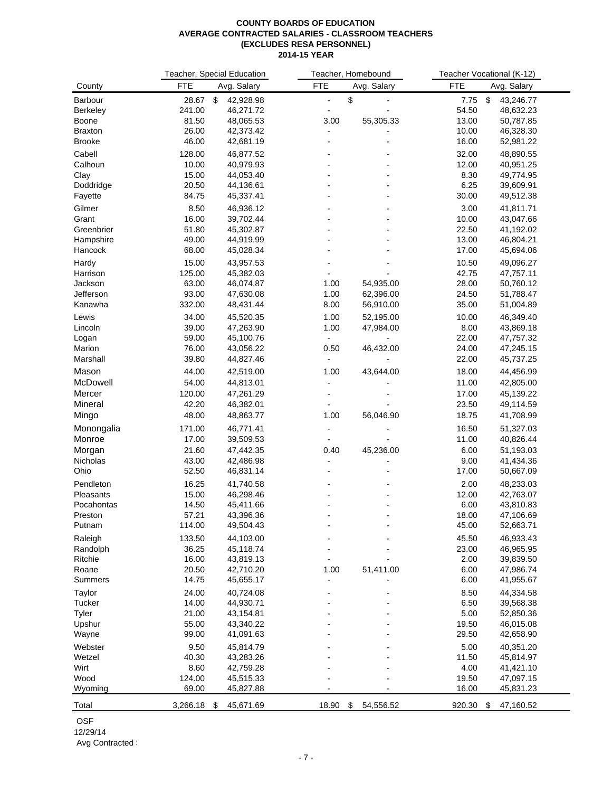#### **COUNTY BOARDS OF EDUCATION AVERAGE CONTRACTED SALARIES - CLASSROOM TEACHERS (EXCLUDES RESA PERSONNEL) 2014-15 YEAR**

|                |               | Teacher, Special Education |                | Teacher, Homebound |               | Teacher Vocational (K-12) |  |
|----------------|---------------|----------------------------|----------------|--------------------|---------------|---------------------------|--|
| County         | <b>FTE</b>    | Avg. Salary                | <b>FTE</b>     | Avg. Salary        | <b>FTE</b>    | Avg. Salary               |  |
| Barbour        | 28.67         | \$<br>42,928.98            |                | \$                 | 7.75          | \$<br>43,246.77           |  |
| Berkeley       | 241.00        | 46,271.72                  |                |                    | 54.50         | 48,632.23                 |  |
| Boone          | 81.50         | 48,065.53                  | 3.00           | 55,305.33          | 13.00         | 50,787.85                 |  |
| <b>Braxton</b> | 26.00         | 42,373.42                  |                |                    | 10.00         | 46,328.30                 |  |
| <b>Brooke</b>  | 46.00         | 42,681.19                  |                |                    | 16.00         | 52,981.22                 |  |
| Cabell         | 128.00        | 46,877.52                  |                |                    | 32.00         | 48,890.55                 |  |
| Calhoun        | 10.00         | 40,979.93                  |                |                    | 12.00         | 40,951.25                 |  |
| Clay           | 15.00         | 44,053.40                  |                |                    | 8.30          | 49,774.95                 |  |
| Doddridge      | 20.50         | 44,136.61                  |                |                    | 6.25          | 39,609.91                 |  |
| Fayette        | 84.75         | 45,337.41                  |                |                    | 30.00         | 49,512.38                 |  |
|                |               |                            |                |                    |               |                           |  |
| Gilmer         | 8.50          | 46,936.12                  |                |                    | 3.00          | 41,811.71                 |  |
| Grant          | 16.00         | 39,702.44                  |                |                    | 10.00         | 43,047.66                 |  |
| Greenbrier     | 51.80         | 45,302.87                  |                |                    | 22.50         | 41,192.02                 |  |
| Hampshire      | 49.00         | 44,919.99                  |                |                    | 13.00         | 46,804.21                 |  |
| Hancock        | 68.00         | 45,028.34                  |                |                    | 17.00         | 45,694.06                 |  |
| Hardy          | 15.00         | 43,957.53                  |                |                    | 10.50         | 49,096.27                 |  |
| Harrison       | 125.00        | 45,382.03                  |                |                    | 42.75         | 47,757.11                 |  |
| Jackson        | 63.00         | 46,074.87                  | 1.00           | 54,935.00          | 28.00         | 50,760.12                 |  |
| Jefferson      | 93.00         | 47,630.08                  | 1.00           | 62,396.00          | 24.50         | 51,788.47                 |  |
| Kanawha        | 332.00        | 48,431.44                  | 8.00           | 56,910.00          | 35.00         | 51,004.89                 |  |
| Lewis          | 34.00         | 45,520.35                  | 1.00           | 52,195.00          | 10.00         | 46,349.40                 |  |
| Lincoln        | 39.00         | 47,263.90                  | 1.00           | 47,984.00          | 8.00          | 43,869.18                 |  |
| Logan          | 59.00         | 45,100.76                  |                |                    | 22.00         | 47,757.32                 |  |
| Marion         | 76.00         | 43,056.22                  | 0.50           | 46,432.00          | 24.00         | 47,245.15                 |  |
| Marshall       | 39.80         | 44,827.46                  |                |                    | 22.00         | 45,737.25                 |  |
| Mason          | 44.00         | 42,519.00                  | 1.00           | 43,644.00          | 18.00         | 44,456.99                 |  |
| McDowell       | 54.00         | 44,813.01                  |                |                    | 11.00         | 42,805.00                 |  |
| Mercer         | 120.00        | 47,261.29                  |                |                    | 17.00         | 45,139.22                 |  |
| Mineral        | 42.20         | 46,382.01                  |                |                    | 23.50         | 49,114.59                 |  |
| Mingo          | 48.00         | 48,863.77                  | 1.00           | 56,046.90          | 18.75         | 41,708.99                 |  |
|                |               |                            |                |                    |               |                           |  |
| Monongalia     | 171.00        | 46,771.41                  | $\overline{a}$ |                    | 16.50         | 51,327.03                 |  |
| Monroe         | 17.00         | 39,509.53                  |                |                    | 11.00         | 40,826.44                 |  |
| Morgan         | 21.60         | 47,442.35                  | 0.40           | 45,236.00          | 6.00          | 51,193.03                 |  |
| Nicholas       | 43.00         | 42,486.98                  |                |                    | 9.00          | 41,434.36                 |  |
| Ohio           | 52.50         | 46,831.14                  |                |                    | 17.00         | 50,667.09                 |  |
| Pendleton      | 16.25         | 41,740.58                  |                |                    | 2.00          | 48,233.03                 |  |
| Pleasants      | 15.00         | 46,298.46                  |                |                    | 12.00         | 42,763.07                 |  |
| Pocahontas     | 14.50         | 45,411.66                  |                |                    | 6.00          | 43,810.83                 |  |
| Preston        | 57.21         | 43,396.36                  |                |                    | 18.00         | 47,106.69                 |  |
| Putnam         | 114.00        | 49,504.43                  |                |                    | 45.00         | 52,663.71                 |  |
| Raleigh        | 133.50        | 44,103.00                  |                |                    | 45.50         | 46,933.43                 |  |
| Randolph       | 36.25         | 45,118.74                  |                |                    | 23.00         | 46,965.95                 |  |
| Ritchie        | 16.00         | 43,819.13                  |                |                    | 2.00          | 39,839.50                 |  |
| Roane          | 20.50         | 42,710.20                  | 1.00           | 51,411.00          | 6.00          | 47,986.74                 |  |
| Summers        | 14.75         | 45,655.17                  |                |                    | 6.00          | 41,955.67                 |  |
| Taylor         | 24.00         | 40,724.08                  |                |                    | 8.50          | 44,334.58                 |  |
| Tucker         | 14.00         | 44,930.71                  |                |                    | 6.50          | 39,568.38                 |  |
| Tyler          | 21.00         | 43,154.81                  |                |                    | 5.00          | 52,850.36                 |  |
| Upshur         | 55.00         | 43,340.22                  |                |                    | 19.50         | 46,015.08                 |  |
| Wayne          | 99.00         | 41,091.63                  |                |                    | 29.50         | 42,658.90                 |  |
| Webster        |               |                            |                |                    | 5.00          | 40,351.20                 |  |
|                | 9.50<br>40.30 | 45,814.79                  |                |                    |               |                           |  |
| Wetzel<br>Wirt | 8.60          | 43,283.26                  |                |                    | 11.50<br>4.00 | 45,814.97                 |  |
| Wood           | 124.00        | 42,759.28                  |                |                    | 19.50         | 41,421.10                 |  |
| Wyoming        | 69.00         | 45,515.33<br>45,827.88     |                |                    | 16.00         | 47,097.15<br>45,831.23    |  |
|                |               |                            |                |                    |               |                           |  |
| Total          | 3,266.18      | \$<br>45,671.69            | 18.90          | \$<br>54,556.52    | 920.30        | \$<br>47,160.52           |  |

OSF

12/29/14

Avg Contracted :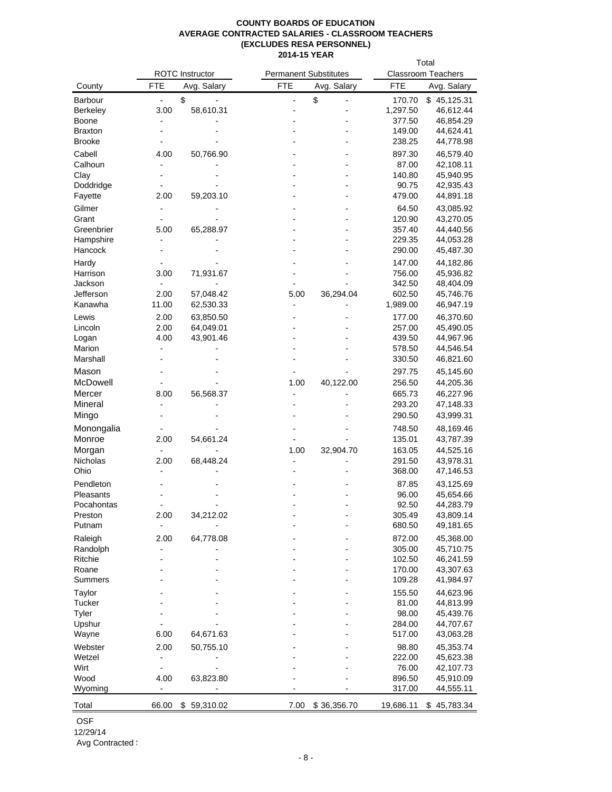#### **COUNTY BOARDS OF EDUCATION AVERAGE CONTRACTED SALARIES - CLASSROOM TEACHERS (EXCLUDES RESA PERSONNEL) 2014-15 YEAR** Total

|                     |                | <b>ROTC</b> Instructor |            | <b>Permanent Substitutes</b> |                  | <b>Classroom Teachers</b> |
|---------------------|----------------|------------------------|------------|------------------------------|------------------|---------------------------|
| County              | <b>FTE</b>     | Avg. Salary            | <b>FTE</b> | Avg. Salary                  | <b>FTE</b>       | Avg. Salary               |
| <b>Barbour</b>      |                | \$                     |            | \$                           | 170.70           | \$45,125.31               |
| Berkeley            | 3.00           | 58,610.31              |            |                              | 1,297.50         | 46,612.44                 |
| Boone               |                |                        |            |                              | 377.50           | 46,854.29                 |
| <b>Braxton</b>      |                |                        |            |                              | 149.00           | 44,624.41                 |
| <b>Brooke</b>       |                |                        |            |                              | 238.25           | 44,778.98                 |
| Cabell              | 4.00           | 50,766.90              |            |                              | 897.30           | 46,579.40                 |
| Calhoun             |                |                        |            |                              | 87.00            | 42,108.11                 |
| Clay                |                |                        |            |                              | 140.80           | 45,940.95                 |
| Doddridge           |                |                        |            |                              | 90.75            | 42,935.43                 |
| Fayette             | 2.00           | 59,203.10              |            |                              | 479.00           | 44,891.18                 |
| Gilmer              |                |                        |            |                              | 64.50            | 43,085.92                 |
| Grant<br>Greenbrier | 5.00           |                        |            |                              | 120.90<br>357.40 | 43,270.05                 |
| Hampshire           |                | 65,288.97              |            |                              | 229.35           | 44,440.56<br>44,053.28    |
| Hancock             |                |                        |            |                              | 290.00           | 45,487.30                 |
| Hardy               |                |                        |            |                              | 147.00           | 44,182.86                 |
| Harrison            | 3.00           | 71,931.67              |            |                              | 756.00           | 45,936.82                 |
| Jackson             | $\overline{a}$ |                        |            |                              | 342.50           | 48,404.09                 |
| Jefferson           | 2.00           | 57,048.42              | 5.00       | 36,294.04                    | 602.50           | 45,746.76                 |
| Kanawha             | 11.00          | 62,530.33              |            |                              | 1,989.00         | 46,947.19                 |
| Lewis               | 2.00           | 63,850.50              |            |                              | 177.00           | 46,370.60                 |
| Lincoln             | 2.00           | 64,049.01              |            |                              | 257.00           | 45,490.05                 |
| Logan               | 4.00           | 43,901.46              |            |                              | 439.50           | 44,967.96                 |
| Marion              |                |                        |            |                              | 578.50           | 44,546.54                 |
| Marshall            |                |                        |            |                              | 330.50           | 46,821.60                 |
| Mason               |                |                        |            |                              | 297.75           | 45,145.60                 |
| McDowell            |                |                        | 1.00       | 40,122.00                    | 256.50           | 44,205.36                 |
| Mercer              | 8.00           | 56,568.37              |            |                              | 665.73           | 46,227.96                 |
| Mineral             |                |                        |            |                              | 293.20           | 47,148.33                 |
| Mingo               |                |                        |            |                              | 290.50           | 43,999.31                 |
| Monongalia          |                |                        |            |                              | 748.50           | 48,169.46                 |
| Monroe              | 2.00           | 54,661.24              |            |                              | 135.01           | 43,787.39                 |
| Morgan              | ÷,             |                        | 1.00       | 32,904.70                    | 163.05           | 44,525.16                 |
| Nicholas            | 2.00           | 68,448.24              |            |                              | 291.50           | 43,978.31                 |
| Ohio                |                |                        |            |                              | 368.00           | 47,146.53                 |
| Pendleton           |                |                        |            |                              | 87.85            | 43,125.69                 |
| Pleasants           |                |                        |            |                              | 96.00            | 45,654.66                 |
| Pocahontas          | 2.00           | 34,212.02              |            |                              | 92.50<br>305.49  | 44,283.79<br>43,809.14    |
| Preston<br>Putnam   |                |                        |            |                              | 680.50           | 49,181.65                 |
| Raleigh             | 2.00           | 64,778.08              |            |                              | 872.00           | 45,368.00                 |
| Randolph            |                |                        |            |                              | 305.00           | 45,710.75                 |
| Ritchie             |                |                        |            |                              | 102.50           | 46,241.59                 |
| Roane               |                |                        |            |                              | 170.00           | 43,307.63                 |
| Summers             |                |                        |            |                              | 109.28           | 41,984.97                 |
| Taylor              |                |                        |            |                              | 155.50           | 44,623.96                 |
| Tucker              |                |                        |            |                              | 81.00            | 44,813.99                 |
| Tyler               |                |                        |            |                              | 98.00            | 45,439.76                 |
| Upshur              |                |                        |            |                              | 284.00           | 44,707.67                 |
| Wayne               | 6.00           | 64,671.63              |            |                              | 517.00           | 43,063.28                 |
| Webster             | 2.00           | 50,755.10              |            |                              | 98.80            | 45,353.74                 |
| Wetzel              |                |                        |            |                              | 222.00           | 45,623.38                 |
| Wirt                |                |                        |            |                              | 76.00            | 42,107.73                 |
| Wood                | 4.00           | 63,823.80              |            |                              | 896.50           | 45,910.09                 |
| Wyoming             |                |                        |            |                              | 317.00           | 44,555.11                 |
| Total               | 66.00          | 59,310.02<br>\$        | 7.00       | \$36,356.70                  | 19,686.11        | \$45,783.34               |

OSF

12/29/14

Avg Contracted :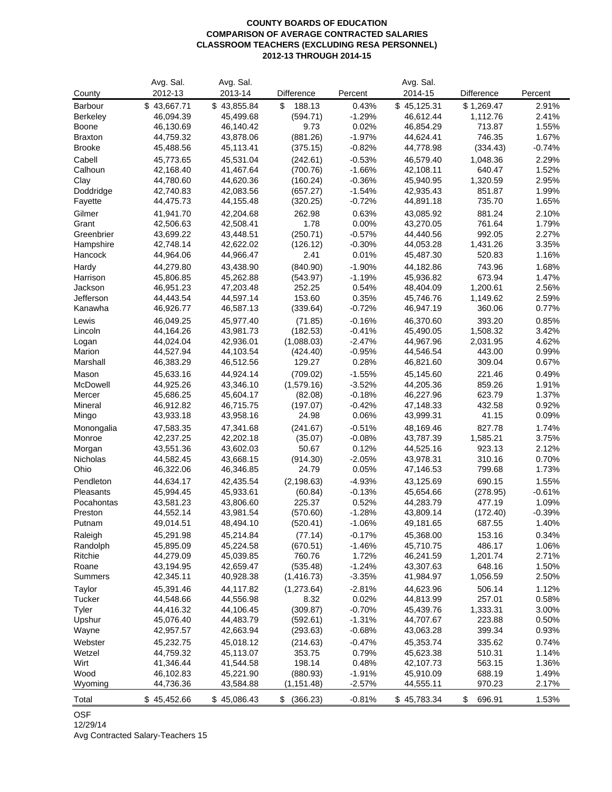### **COUNTY BOARDS OF EDUCATION COMPARISON OF AVERAGE CONTRACTED SALARIES CLASSROOM TEACHERS (EXCLUDING RESA PERSONNEL) 2012-13 THROUGH 2014-15**

|                         | Avg. Sal.              | Avg. Sal.              |                  |                      | Avg. Sal.              |                    |                |
|-------------------------|------------------------|------------------------|------------------|----------------------|------------------------|--------------------|----------------|
| County                  | 2012-13                | 2013-14                | Difference       | Percent              | 2014-15                | Difference         | Percent        |
| <b>Barbour</b>          | \$43,667.71            | \$43,855.84            | \$<br>188.13     | 0.43%                | \$45,125.31            | \$1,269.47         | 2.91%          |
| Berkeley                | 46,094.39              | 45,499.68              | (594.71)         | $-1.29%$             | 46,612.44              | 1,112.76           | 2.41%          |
| Boone                   | 46,130.69              | 46,140.42              | 9.73             | 0.02%                | 46,854.29              | 713.87             | 1.55%          |
| <b>Braxton</b>          | 44,759.32              | 43,878.06              | (881.26)         | $-1.97%$             | 44,624.41              | 746.35             | 1.67%          |
| <b>Brooke</b>           | 45,488.56              | 45,113.41              | (375.15)         | $-0.82%$             | 44,778.98              | (334.43)           | $-0.74%$       |
| Cabell                  | 45,773.65              | 45,531.04              | (242.61)         | $-0.53%$             | 46,579.40              | 1,048.36           | 2.29%          |
| Calhoun                 | 42,168.40              | 41,467.64              | (700.76)         | $-1.66%$             | 42,108.11              | 640.47             | 1.52%          |
| Clay                    | 44,780.60              | 44,620.36              | (160.24)         | $-0.36%$             | 45,940.95              | 1,320.59           | 2.95%          |
| Doddridge               | 42,740.83              | 42,083.56              | (657.27)         | $-1.54%$             | 42,935.43              | 851.87             | 1.99%          |
| Fayette                 | 44,475.73              | 44,155.48              | (320.25)         | $-0.72%$             | 44,891.18              | 735.70             | 1.65%          |
| Gilmer                  | 41,941.70              | 42,204.68              | 262.98           | 0.63%                | 43,085.92              | 881.24             | 2.10%          |
| Grant                   | 42,506.63              | 42,508.41              | 1.78             | 0.00%                | 43,270.05              | 761.64             | 1.79%          |
| Greenbrier              | 43,699.22              | 43,448.51              | (250.71)         | $-0.57%$             | 44,440.56              | 992.05             | 2.27%          |
| Hampshire               | 42,748.14              | 42,622.02              | (126.12)         | $-0.30%$             | 44,053.28              | 1,431.26           | 3.35%          |
| Hancock                 | 44,964.06              | 44,966.47              | 2.41             | 0.01%                | 45,487.30              | 520.83             | 1.16%          |
| Hardy                   | 44,279.80              | 43,438.90              | (840.90)         | $-1.90%$             | 44,182.86              | 743.96             | 1.68%          |
| Harrison                | 45,806.85              | 45,262.88              | (543.97)         | $-1.19%$             | 45,936.82              | 673.94             | 1.47%          |
| Jackson                 | 46,951.23              | 47,203.48              | 252.25           | 0.54%                | 48,404.09              | 1,200.61           | 2.56%          |
| Jefferson               | 44,443.54              | 44,597.14              | 153.60           | 0.35%                | 45,746.76              | 1,149.62           | 2.59%          |
| Kanawha                 | 46,926.77              | 46,587.13              | (339.64)         | $-0.72%$             | 46,947.19              | 360.06             | 0.77%          |
| Lewis                   | 46,049.25              | 45,977.40              | (71.85)          | $-0.16%$             | 46,370.60              | 393.20             | 0.85%          |
| Lincoln                 | 44,164.26              | 43,981.73              | (182.53)         | $-0.41%$             | 45,490.05              | 1,508.32           | 3.42%          |
| Logan                   | 44,024.04              | 42,936.01              | (1,088.03)       | $-2.47%$             | 44,967.96              | 2,031.95           | 4.62%          |
| Marion                  | 44,527.94              | 44,103.54              | (424.40)         | $-0.95%$             | 44,546.54              | 443.00             | 0.99%          |
| Marshall                | 46,383.29              | 46,512.56              | 129.27           | 0.28%                | 46,821.60              | 309.04             | 0.67%          |
| Mason                   | 45,633.16              | 44,924.14              | (709.02)         | $-1.55%$             | 45,145.60              | 221.46             | 0.49%          |
| McDowell                | 44,925.26              | 43,346.10              | (1,579.16)       | $-3.52%$             | 44,205.36              | 859.26             | 1.91%          |
| Mercer                  | 45,686.25              | 45,604.17              | (82.08)          | $-0.18%$             | 46,227.96              | 623.79             | 1.37%          |
| Mineral                 | 46,912.82              | 46,715.75              | (197.07)         | $-0.42%$             | 47,148.33              | 432.58             | 0.92%          |
| Mingo                   | 43,933.18              | 43,958.16              | 24.98            | 0.06%                | 43,999.31              | 41.15              | 0.09%          |
| Monongalia              | 47,583.35              | 47,341.68              | (241.67)         | $-0.51%$             | 48,169.46              | 827.78             | 1.74%          |
| Monroe                  | 42,237.25              | 42,202.18              | (35.07)          | $-0.08%$             | 43,787.39              | 1,585.21           | 3.75%          |
| Morgan                  | 43,551.36              | 43,602.03              | 50.67            | 0.12%                | 44,525.16              | 923.13             | 2.12%          |
| Nicholas                | 44,582.45              | 43,668.15              | (914.30)         | $-2.05%$             | 43,978.31              | 310.16             | 0.70%          |
| Ohio                    | 46,322.06              | 46,346.85              | 24.79            | 0.05%                | 47,146.53              | 799.68             | 1.73%          |
| Pendleton               | 44,634.17              | 42,435.54              | (2, 198.63)      | $-4.93%$             | 43,125.69              | 690.15             | 1.55%          |
| Pleasants               | 45,994.45              | 45,933.61              | (60.84)          | $-0.13%$             | 45,654.66              | (278.95)           | $-0.61%$       |
| Pocahontas              | 43,581.23              | 43,806.60              | 225.37           | 0.52%                | 44,283.79              | 477.19             | 1.09%          |
| Preston                 | 44,552.14              | 43,981.54              | (570.60)         | $-1.28%$             | 43,809.14              | (172.40)           | $-0.39%$       |
| Putnam                  | 49,014.51              | 48,494.10              | (520.41)         | $-1.06%$             | 49,181.65              | 687.55             | 1.40%          |
| Raleigh                 | 45,291.98              | 45,214.84              | (77.14)          | $-0.17%$             | 45,368.00              | 153.16             | 0.34%          |
| Randolph                | 45,895.09              | 45,224.58              | (670.51)         | $-1.46%$             | 45,710.75              | 486.17             | 1.06%          |
| Ritchie                 | 44,279.09              | 45,039.85              | 760.76           | 1.72%                | 46,241.59              | 1,201.74           | 2.71%          |
| Roane<br><b>Summers</b> | 43,194.95<br>42,345.11 | 42,659.47<br>40,928.38 | (535.48)         | $-1.24%$             | 43,307.63<br>41,984.97 | 648.16             | 1.50%          |
|                         |                        |                        | (1, 416.73)      | $-3.35%$             |                        | 1,056.59           | 2.50%          |
| Taylor                  | 45,391.46              | 44,117.82              | (1, 273.64)      | $-2.81%$             | 44,623.96              | 506.14             | 1.12%          |
| Tucker                  | 44,548.66              | 44,556.98              | 8.32             | 0.02%                | 44,813.99              | 257.01             | 0.58%          |
| Tyler                   | 44,416.32              | 44,106.45              | (309.87)         | $-0.70%$             | 45,439.76              | 1,333.31<br>223.88 | 3.00%          |
| Upshur                  | 45,076.40<br>42,957.57 | 44,483.79<br>42,663.94 | (592.61)         | $-1.31%$<br>$-0.68%$ | 44,707.67              | 399.34             | 0.50%          |
| Wayne                   |                        |                        | (293.63)         |                      | 43,063.28              |                    | 0.93%          |
| Webster                 | 45,232.75              | 45,018.12              | (214.63)         | $-0.47%$             | 45,353.74              | 335.62             | 0.74%          |
| Wetzel<br>Wirt          | 44,759.32<br>41,346.44 | 45,113.07              | 353.75<br>198.14 | 0.79%<br>0.48%       | 45,623.38              | 510.31<br>563.15   | 1.14%          |
| Wood                    | 46,102.83              | 41,544.58<br>45,221.90 | (880.93)         | $-1.91%$             | 42,107.73<br>45,910.09 | 688.19             | 1.36%<br>1.49% |
| Wyoming                 | 44,736.36              | 43,584.88              | (1, 151.48)      | $-2.57%$             | 44,555.11              | 970.23             | 2.17%          |
|                         |                        |                        |                  |                      |                        |                    |                |
| Total                   | \$45,452.66            | \$45,086.43            | (366.23)<br>\$   | $-0.81%$             | \$45,783.34            | \$<br>696.91       | 1.53%          |

### OSF

12/29/14